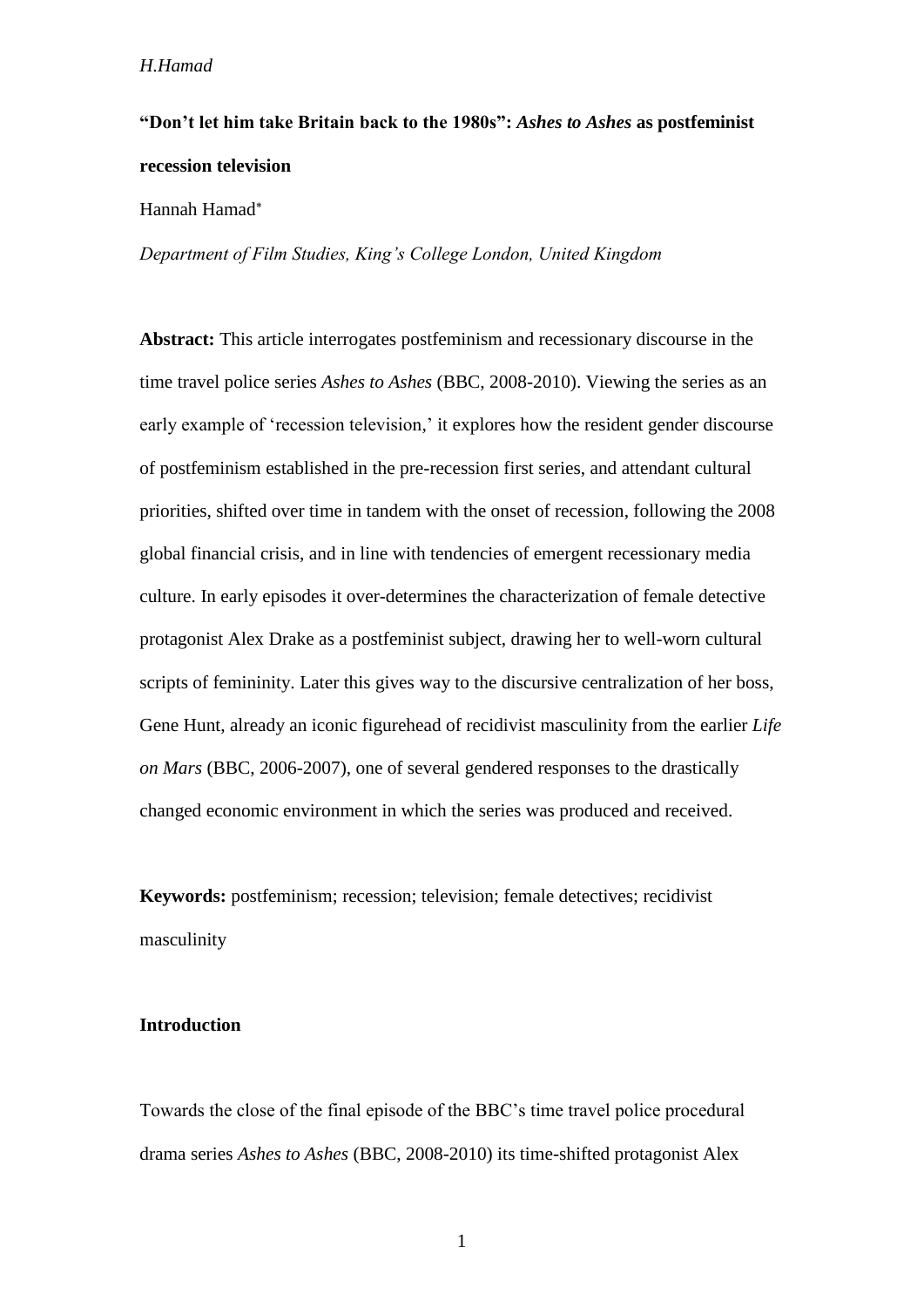## **"Don't let him take Britain back to the 1980s":** *Ashes to Ashes* **as postfeminist recession television**

Hannah Hamad

*Department of Film Studies, King's College London, United Kingdom*

**Abstract:** This article interrogates postfeminism and recessionary discourse in the time travel police series *Ashes to Ashes* (BBC, 2008-2010). Viewing the series as an early example of 'recession television,' it explores how the resident gender discourse of postfeminism established in the pre-recession first series, and attendant cultural priorities, shifted over time in tandem with the onset of recession, following the 2008 global financial crisis, and in line with tendencies of emergent recessionary media culture. In early episodes it over-determines the characterization of female detective protagonist Alex Drake as a postfeminist subject, drawing her to well-worn cultural scripts of femininity. Later this gives way to the discursive centralization of her boss, Gene Hunt, already an iconic figurehead of recidivist masculinity from the earlier *Life on Mars* (BBC, 2006-2007), one of several gendered responses to the drastically changed economic environment in which the series was produced and received.

**Keywords:** postfeminism; recession; television; female detectives; recidivist masculinity

## **Introduction**

Towards the close of the final episode of the BBC's time travel police procedural drama series *Ashes to Ashes* (BBC, 2008-2010) its time-shifted protagonist Alex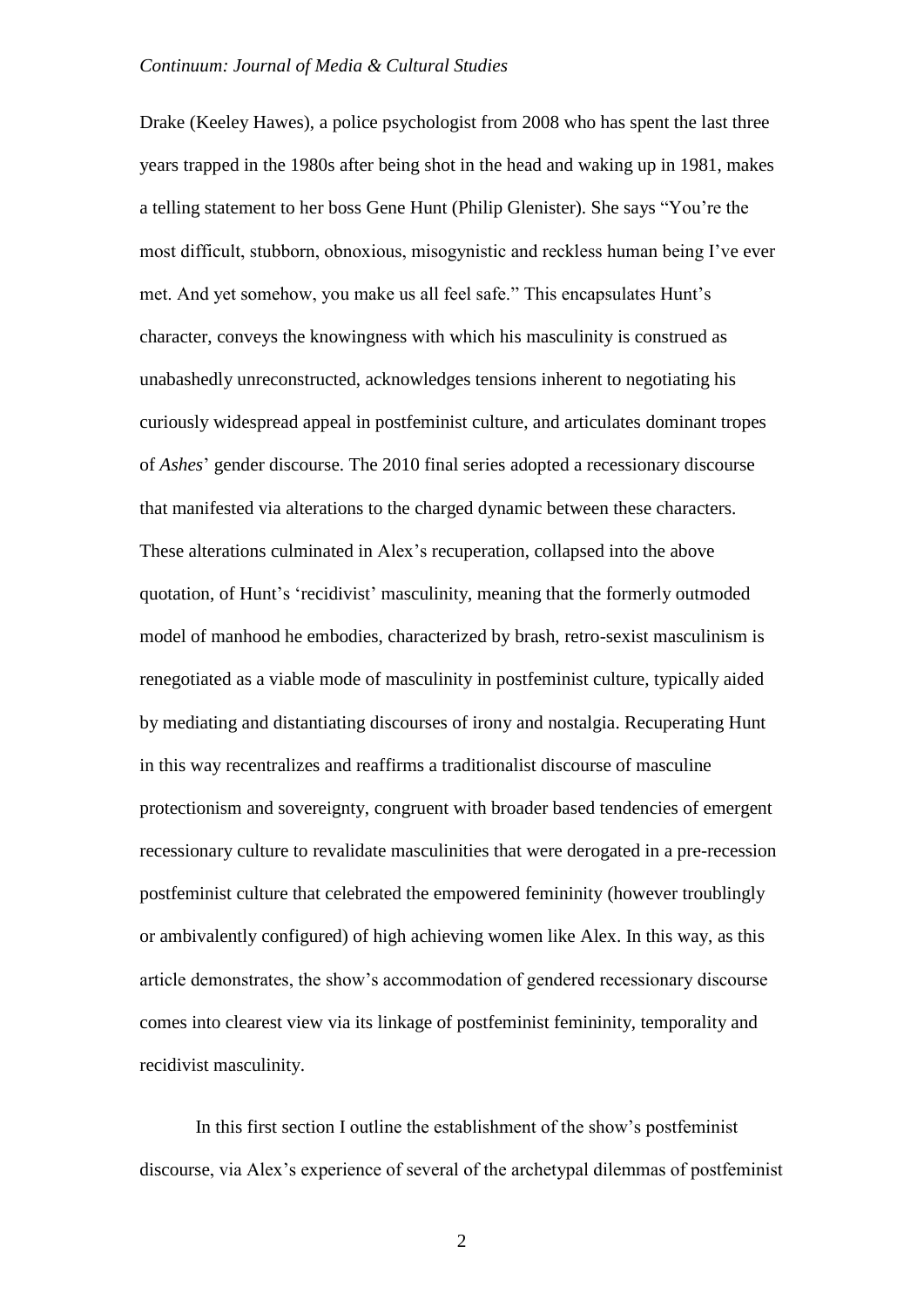Drake (Keeley Hawes), a police psychologist from 2008 who has spent the last three years trapped in the 1980s after being shot in the head and waking up in 1981, makes a telling statement to her boss Gene Hunt (Philip Glenister). She says "You're the most difficult, stubborn, obnoxious, misogynistic and reckless human being I've ever met. And yet somehow, you make us all feel safe." This encapsulates Hunt's character, conveys the knowingness with which his masculinity is construed as unabashedly unreconstructed, acknowledges tensions inherent to negotiating his curiously widespread appeal in postfeminist culture, and articulates dominant tropes of *Ashes*' gender discourse. The 2010 final series adopted a recessionary discourse that manifested via alterations to the charged dynamic between these characters. These alterations culminated in Alex's recuperation, collapsed into the above quotation, of Hunt's 'recidivist' masculinity, meaning that the formerly outmoded model of manhood he embodies, characterized by brash, retro-sexist masculinism is renegotiated as a viable mode of masculinity in postfeminist culture, typically aided by mediating and distantiating discourses of irony and nostalgia. Recuperating Hunt in this way recentralizes and reaffirms a traditionalist discourse of masculine protectionism and sovereignty, congruent with broader based tendencies of emergent recessionary culture to revalidate masculinities that were derogated in a pre-recession postfeminist culture that celebrated the empowered femininity (however troublingly or ambivalently configured) of high achieving women like Alex. In this way, as this article demonstrates, the show's accommodation of gendered recessionary discourse comes into clearest view via its linkage of postfeminist femininity, temporality and recidivist masculinity.

In this first section I outline the establishment of the show's postfeminist discourse, via Alex's experience of several of the archetypal dilemmas of postfeminist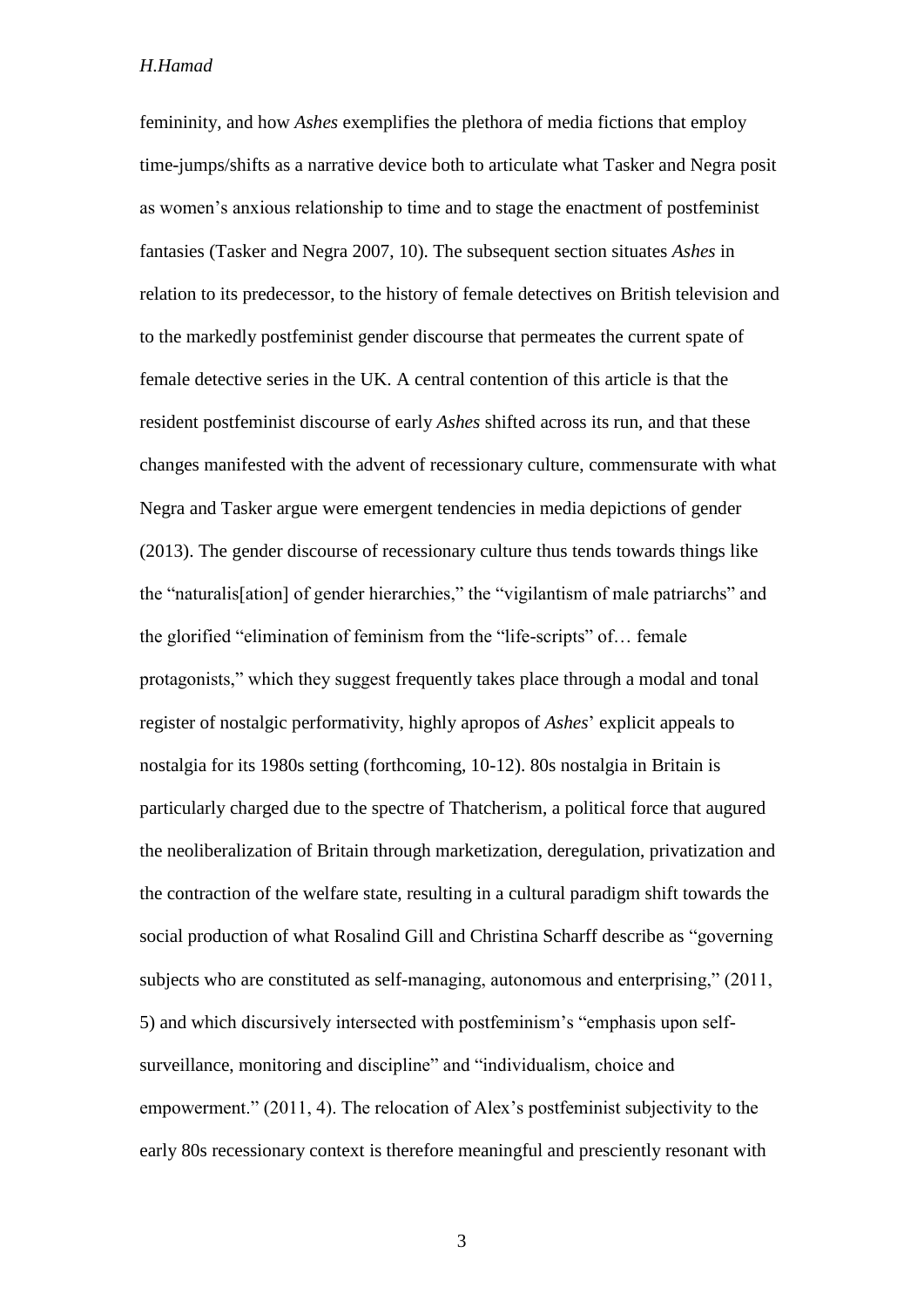femininity, and how *Ashes* exemplifies the plethora of media fictions that employ time-jumps/shifts as a narrative device both to articulate what Tasker and Negra posit as women's anxious relationship to time and to stage the enactment of postfeminist fantasies (Tasker and Negra 2007, 10). The subsequent section situates *Ashes* in relation to its predecessor, to the history of female detectives on British television and to the markedly postfeminist gender discourse that permeates the current spate of female detective series in the UK. A central contention of this article is that the resident postfeminist discourse of early *Ashes* shifted across its run, and that these changes manifested with the advent of recessionary culture, commensurate with what Negra and Tasker argue were emergent tendencies in media depictions of gender (2013). The gender discourse of recessionary culture thus tends towards things like the "naturalis[ation] of gender hierarchies," the "vigilantism of male patriarchs" and the glorified "elimination of feminism from the "life-scripts" of… female protagonists," which they suggest frequently takes place through a modal and tonal register of nostalgic performativity, highly apropos of *Ashes*' explicit appeals to nostalgia for its 1980s setting (forthcoming, 10-12). 80s nostalgia in Britain is particularly charged due to the spectre of Thatcherism, a political force that augured the neoliberalization of Britain through marketization, deregulation, privatization and the contraction of the welfare state, resulting in a cultural paradigm shift towards the social production of what Rosalind Gill and Christina Scharff describe as "governing subjects who are constituted as self-managing, autonomous and enterprising," (2011, 5) and which discursively intersected with postfeminism's "emphasis upon selfsurveillance, monitoring and discipline" and "individualism, choice and empowerment." (2011, 4). The relocation of Alex's postfeminist subjectivity to the early 80s recessionary context is therefore meaningful and presciently resonant with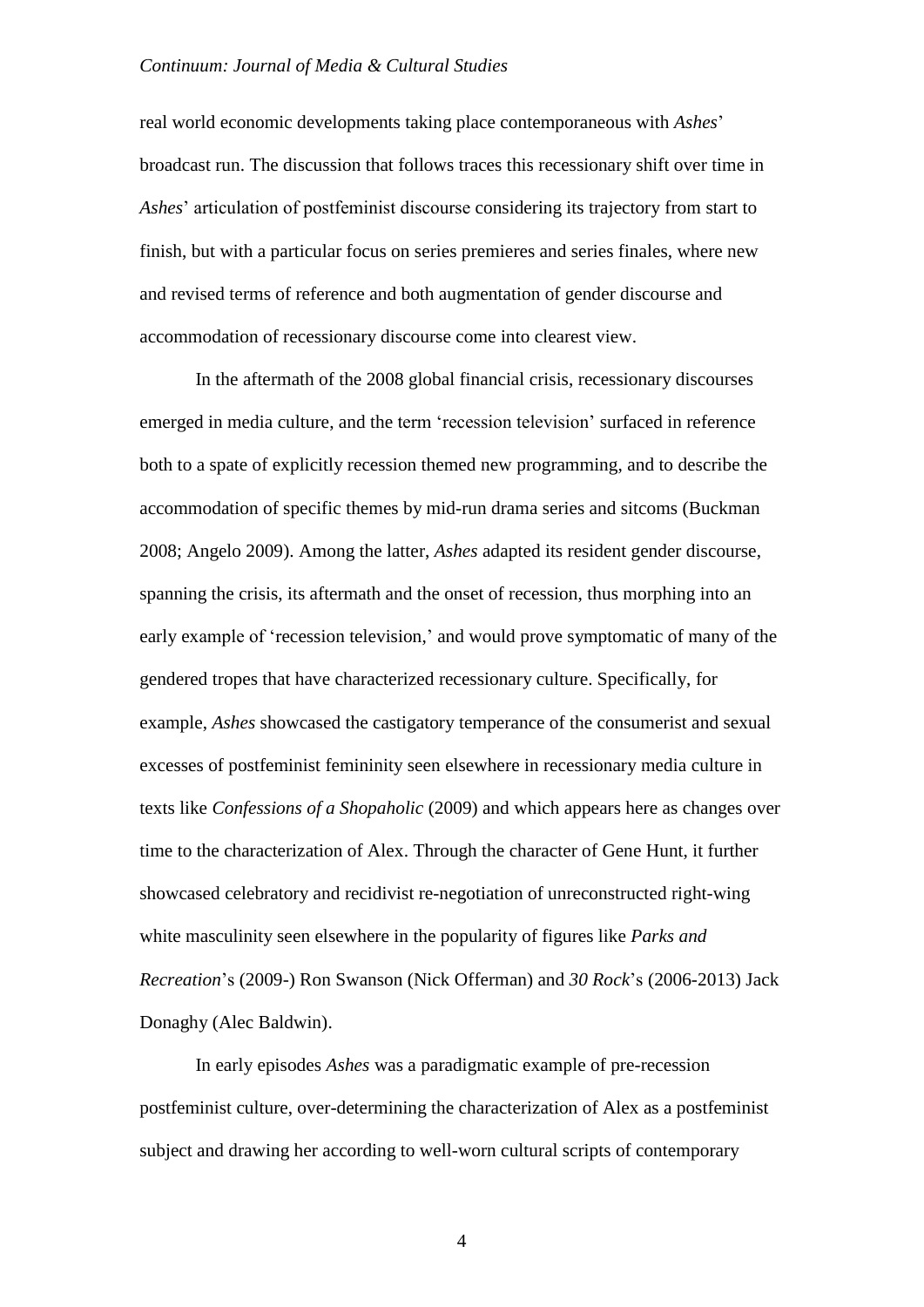real world economic developments taking place contemporaneous with *Ashes*' broadcast run. The discussion that follows traces this recessionary shift over time in *Ashes*' articulation of postfeminist discourse considering its trajectory from start to finish, but with a particular focus on series premieres and series finales, where new and revised terms of reference and both augmentation of gender discourse and accommodation of recessionary discourse come into clearest view.

In the aftermath of the 2008 global financial crisis, recessionary discourses emerged in media culture, and the term 'recession television' surfaced in reference both to a spate of explicitly recession themed new programming, and to describe the accommodation of specific themes by mid-run drama series and sitcoms (Buckman 2008; Angelo 2009). Among the latter, *Ashes* adapted its resident gender discourse, spanning the crisis, its aftermath and the onset of recession, thus morphing into an early example of 'recession television,' and would prove symptomatic of many of the gendered tropes that have characterized recessionary culture. Specifically, for example, *Ashes* showcased the castigatory temperance of the consumerist and sexual excesses of postfeminist femininity seen elsewhere in recessionary media culture in texts like *Confessions of a Shopaholic* (2009) and which appears here as changes over time to the characterization of Alex. Through the character of Gene Hunt, it further showcased celebratory and recidivist re-negotiation of unreconstructed right-wing white masculinity seen elsewhere in the popularity of figures like *Parks and Recreation*'s (2009-) Ron Swanson (Nick Offerman) and *30 Rock*'s (2006-2013) Jack Donaghy (Alec Baldwin).

In early episodes *Ashes* was a paradigmatic example of pre-recession postfeminist culture, over-determining the characterization of Alex as a postfeminist subject and drawing her according to well-worn cultural scripts of contemporary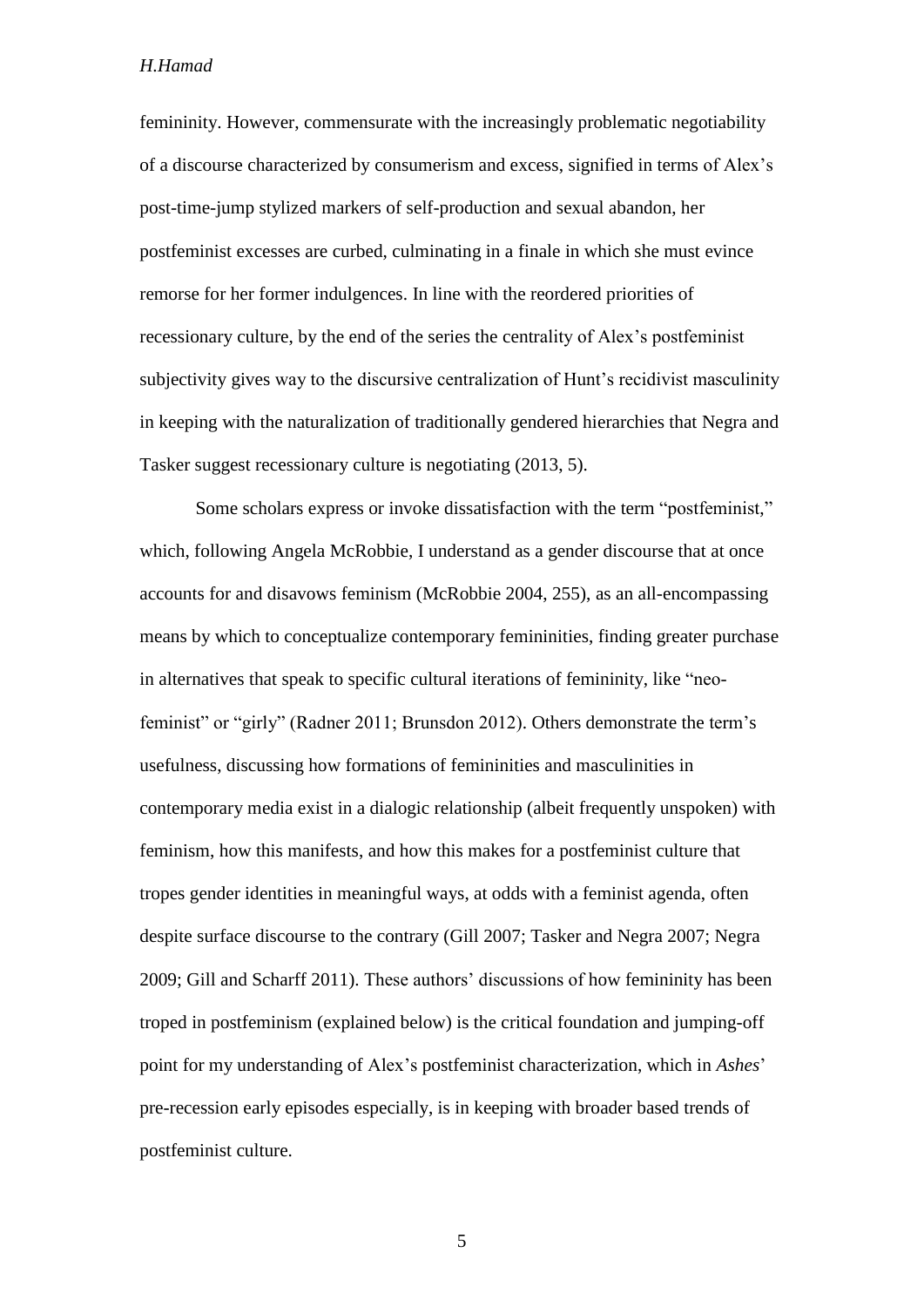femininity. However, commensurate with the increasingly problematic negotiability of a discourse characterized by consumerism and excess, signified in terms of Alex's post-time-jump stylized markers of self-production and sexual abandon, her postfeminist excesses are curbed, culminating in a finale in which she must evince remorse for her former indulgences. In line with the reordered priorities of recessionary culture, by the end of the series the centrality of Alex's postfeminist subjectivity gives way to the discursive centralization of Hunt's recidivist masculinity in keeping with the naturalization of traditionally gendered hierarchies that Negra and Tasker suggest recessionary culture is negotiating (2013, 5).

Some scholars express or invoke dissatisfaction with the term "postfeminist," which, following Angela McRobbie, I understand as a gender discourse that at once accounts for and disavows feminism (McRobbie 2004, 255), as an all-encompassing means by which to conceptualize contemporary femininities, finding greater purchase in alternatives that speak to specific cultural iterations of femininity, like "neofeminist" or "girly" (Radner 2011; Brunsdon 2012). Others demonstrate the term's usefulness, discussing how formations of femininities and masculinities in contemporary media exist in a dialogic relationship (albeit frequently unspoken) with feminism, how this manifests, and how this makes for a postfeminist culture that tropes gender identities in meaningful ways, at odds with a feminist agenda, often despite surface discourse to the contrary (Gill 2007; Tasker and Negra 2007; Negra 2009; Gill and Scharff 2011). These authors' discussions of how femininity has been troped in postfeminism (explained below) is the critical foundation and jumping-off point for my understanding of Alex's postfeminist characterization, which in *Ashes*' pre-recession early episodes especially, is in keeping with broader based trends of postfeminist culture.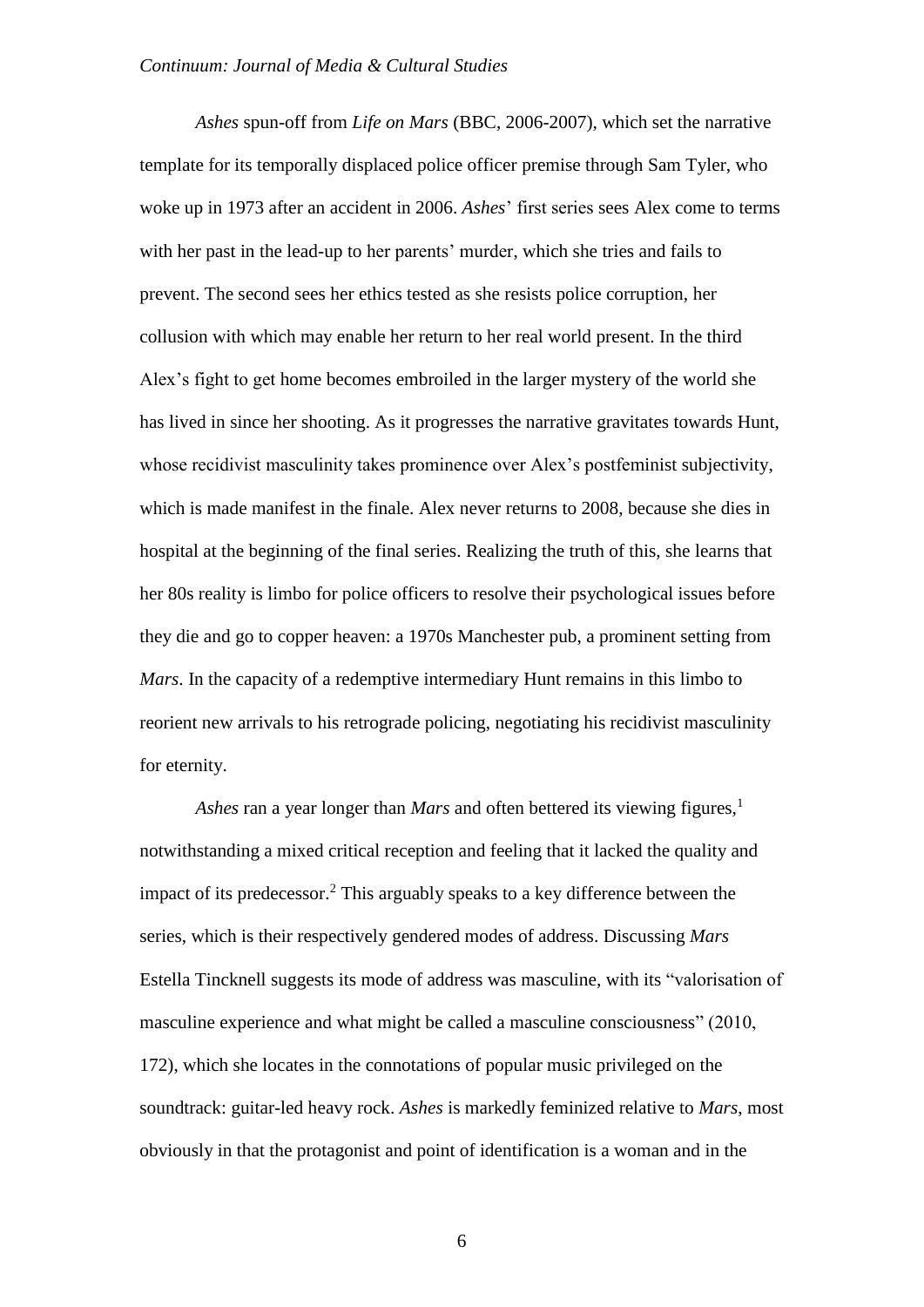*Ashes* spun-off from *Life on Mars* (BBC, 2006-2007), which set the narrative template for its temporally displaced police officer premise through Sam Tyler, who woke up in 1973 after an accident in 2006. *Ashes*' first series sees Alex come to terms with her past in the lead-up to her parents' murder, which she tries and fails to prevent. The second sees her ethics tested as she resists police corruption, her collusion with which may enable her return to her real world present. In the third Alex's fight to get home becomes embroiled in the larger mystery of the world she has lived in since her shooting. As it progresses the narrative gravitates towards Hunt, whose recidivist masculinity takes prominence over Alex's postfeminist subjectivity, which is made manifest in the finale. Alex never returns to 2008, because she dies in hospital at the beginning of the final series. Realizing the truth of this, she learns that her 80s reality is limbo for police officers to resolve their psychological issues before they die and go to copper heaven: a 1970s Manchester pub, a prominent setting from *Mars*. In the capacity of a redemptive intermediary Hunt remains in this limbo to reorient new arrivals to his retrograde policing, negotiating his recidivist masculinity for eternity.

*Ashes* ran a year longer than *Mars* and often bettered its viewing figures,<sup>1</sup> notwithstanding a mixed critical reception and feeling that it lacked the quality and impact of its predecessor. <sup>2</sup> This arguably speaks to a key difference between the series, which is their respectively gendered modes of address. Discussing *Mars* Estella Tincknell suggests its mode of address was masculine, with its "valorisation of masculine experience and what might be called a masculine consciousness" (2010, 172), which she locates in the connotations of popular music privileged on the soundtrack: guitar-led heavy rock. *Ashes* is markedly feminized relative to *Mars*, most obviously in that the protagonist and point of identification is a woman and in the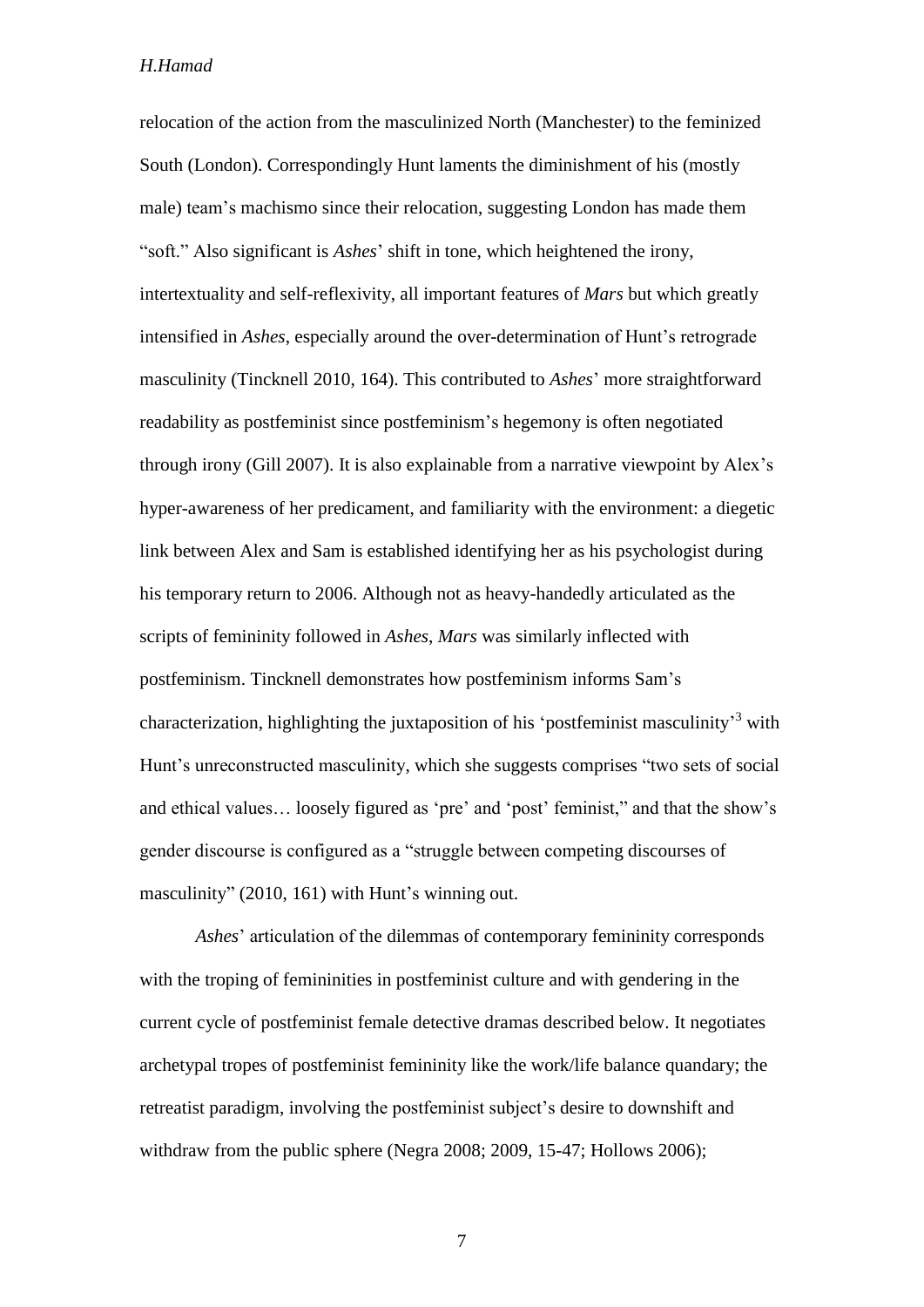relocation of the action from the masculinized North (Manchester) to the feminized South (London). Correspondingly Hunt laments the diminishment of his (mostly male) team's machismo since their relocation, suggesting London has made them "soft." Also significant is *Ashes*' shift in tone, which heightened the irony, intertextuality and self-reflexivity, all important features of *Mars* but which greatly intensified in *Ashes*, especially around the over-determination of Hunt's retrograde masculinity (Tincknell 2010, 164). This contributed to *Ashes*' more straightforward readability as postfeminist since postfeminism's hegemony is often negotiated through irony (Gill 2007). It is also explainable from a narrative viewpoint by Alex's hyper-awareness of her predicament, and familiarity with the environment: a diegetic link between Alex and Sam is established identifying her as his psychologist during his temporary return to 2006. Although not as heavy-handedly articulated as the scripts of femininity followed in *Ashes*, *Mars* was similarly inflected with postfeminism. Tincknell demonstrates how postfeminism informs Sam's characterization, highlighting the juxtaposition of his 'postfeminist masculinity'<sup>3</sup> with Hunt's unreconstructed masculinity, which she suggests comprises "two sets of social and ethical values… loosely figured as 'pre' and 'post' feminist," and that the show's gender discourse is configured as a "struggle between competing discourses of masculinity" (2010, 161) with Hunt's winning out.

*Ashes*' articulation of the dilemmas of contemporary femininity corresponds with the troping of femininities in postfeminist culture and with gendering in the current cycle of postfeminist female detective dramas described below. It negotiates archetypal tropes of postfeminist femininity like the work/life balance quandary; the retreatist paradigm, involving the postfeminist subject's desire to downshift and withdraw from the public sphere (Negra 2008; 2009, 15-47; Hollows 2006);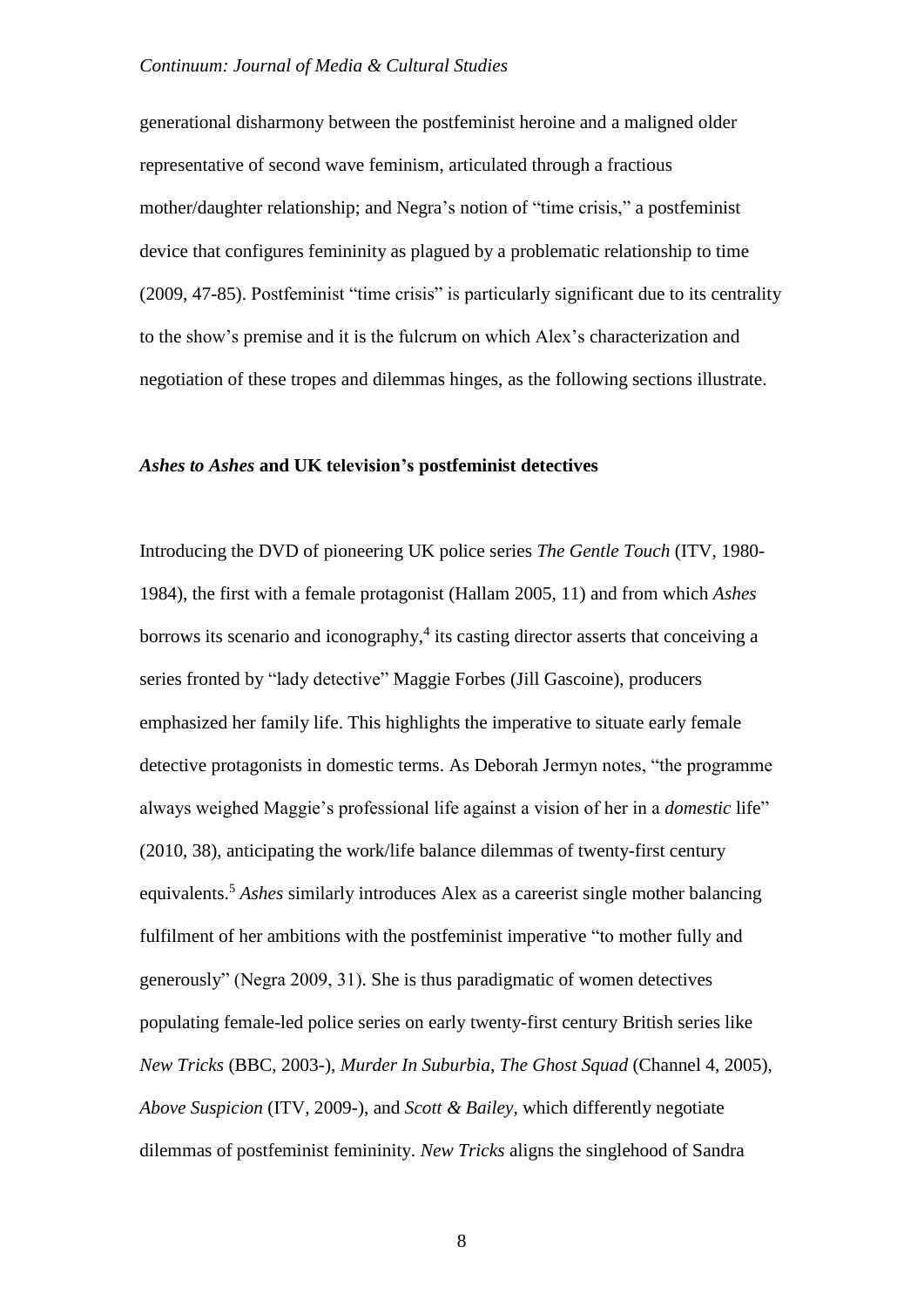generational disharmony between the postfeminist heroine and a maligned older representative of second wave feminism, articulated through a fractious mother/daughter relationship; and Negra's notion of "time crisis," a postfeminist device that configures femininity as plagued by a problematic relationship to time (2009, 47-85). Postfeminist "time crisis" is particularly significant due to its centrality to the show's premise and it is the fulcrum on which Alex's characterization and negotiation of these tropes and dilemmas hinges, as the following sections illustrate.

## *Ashes to Ashes* **and UK television's postfeminist detectives**

Introducing the DVD of pioneering UK police series *The Gentle Touch* (ITV, 1980- 1984), the first with a female protagonist (Hallam 2005, 11) and from which *Ashes* borrows its scenario and iconography,<sup>4</sup> its casting director asserts that conceiving a series fronted by "lady detective" Maggie Forbes (Jill Gascoine), producers emphasized her family life. This highlights the imperative to situate early female detective protagonists in domestic terms. As Deborah Jermyn notes, "the programme always weighed Maggie's professional life against a vision of her in a *domestic* life" (2010, 38), anticipating the work/life balance dilemmas of twenty-first century equivalents.<sup>5</sup> *Ashes* similarly introduces Alex as a careerist single mother balancing fulfilment of her ambitions with the postfeminist imperative "to mother fully and generously" (Negra 2009, 31). She is thus paradigmatic of women detectives populating female-led police series on early twenty-first century British series like *New Tricks* (BBC, 2003-), *Murder In Suburbia*, *The Ghost Squad* (Channel 4, 2005), *Above Suspicion* (ITV, 2009-), and *Scott & Bailey*, which differently negotiate dilemmas of postfeminist femininity. *New Tricks* aligns the singlehood of Sandra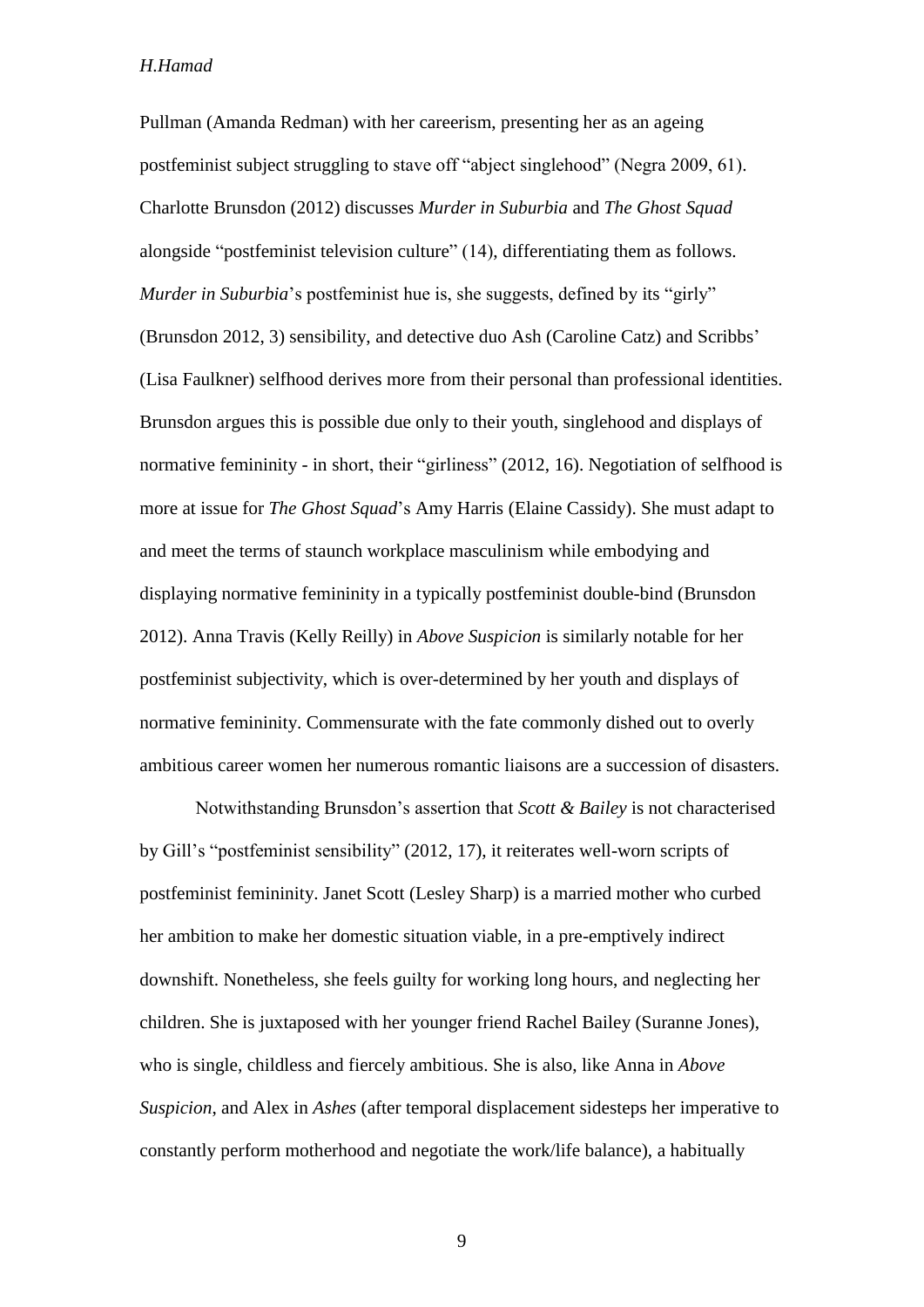Pullman (Amanda Redman) with her careerism, presenting her as an ageing postfeminist subject struggling to stave off "abject singlehood" (Negra 2009, 61). Charlotte Brunsdon (2012) discusses *Murder in Suburbia* and *The Ghost Squad* alongside "postfeminist television culture" (14), differentiating them as follows. *Murder in Suburbia*'s postfeminist hue is, she suggests, defined by its "girly" (Brunsdon 2012, 3) sensibility, and detective duo Ash (Caroline Catz) and Scribbs' (Lisa Faulkner) selfhood derives more from their personal than professional identities. Brunsdon argues this is possible due only to their youth, singlehood and displays of normative femininity - in short, their "girliness" (2012, 16). Negotiation of selfhood is more at issue for *The Ghost Squad*'s Amy Harris (Elaine Cassidy). She must adapt to and meet the terms of staunch workplace masculinism while embodying and displaying normative femininity in a typically postfeminist double-bind (Brunsdon 2012). Anna Travis (Kelly Reilly) in *Above Suspicion* is similarly notable for her postfeminist subjectivity, which is over-determined by her youth and displays of normative femininity. Commensurate with the fate commonly dished out to overly ambitious career women her numerous romantic liaisons are a succession of disasters.

Notwithstanding Brunsdon's assertion that *Scott & Bailey* is not characterised by Gill's "postfeminist sensibility" (2012, 17), it reiterates well-worn scripts of postfeminist femininity. Janet Scott (Lesley Sharp) is a married mother who curbed her ambition to make her domestic situation viable, in a pre-emptively indirect downshift. Nonetheless, she feels guilty for working long hours, and neglecting her children. She is juxtaposed with her younger friend Rachel Bailey (Suranne Jones), who is single, childless and fiercely ambitious. She is also, like Anna in *Above Suspicion*, and Alex in *Ashes* (after temporal displacement sidesteps her imperative to constantly perform motherhood and negotiate the work/life balance), a habitually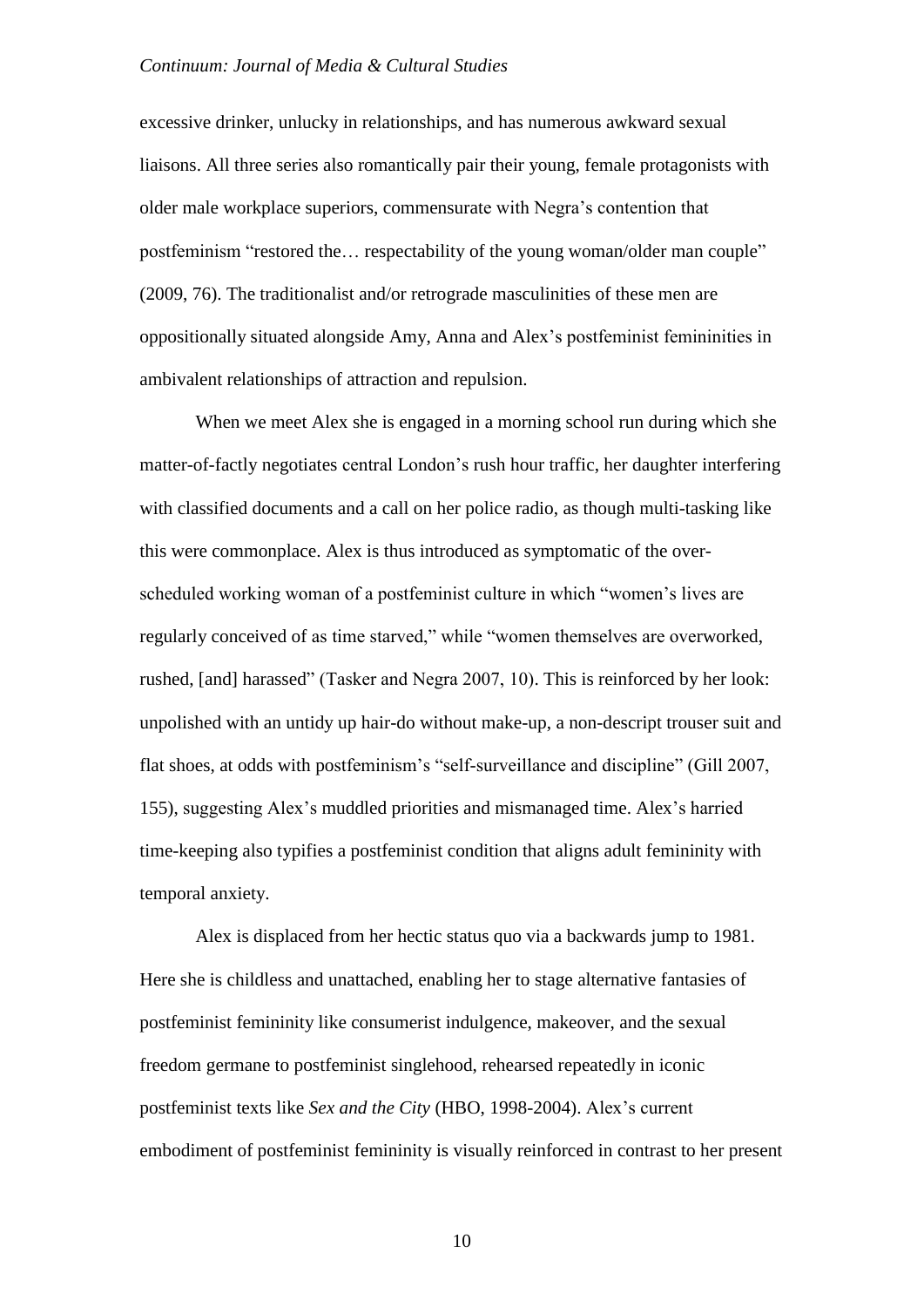excessive drinker, unlucky in relationships, and has numerous awkward sexual liaisons. All three series also romantically pair their young, female protagonists with older male workplace superiors, commensurate with Negra's contention that postfeminism "restored the… respectability of the young woman/older man couple" (2009, 76). The traditionalist and/or retrograde masculinities of these men are oppositionally situated alongside Amy, Anna and Alex's postfeminist femininities in ambivalent relationships of attraction and repulsion.

When we meet Alex she is engaged in a morning school run during which she matter-of-factly negotiates central London's rush hour traffic, her daughter interfering with classified documents and a call on her police radio, as though multi-tasking like this were commonplace. Alex is thus introduced as symptomatic of the overscheduled working woman of a postfeminist culture in which "women's lives are regularly conceived of as time starved," while "women themselves are overworked, rushed, [and] harassed" (Tasker and Negra 2007, 10). This is reinforced by her look: unpolished with an untidy up hair-do without make-up, a non-descript trouser suit and flat shoes, at odds with postfeminism's "self-surveillance and discipline" (Gill 2007, 155), suggesting Alex's muddled priorities and mismanaged time. Alex's harried time-keeping also typifies a postfeminist condition that aligns adult femininity with temporal anxiety.

Alex is displaced from her hectic status quo via a backwards jump to 1981. Here she is childless and unattached, enabling her to stage alternative fantasies of postfeminist femininity like consumerist indulgence, makeover, and the sexual freedom germane to postfeminist singlehood, rehearsed repeatedly in iconic postfeminist texts like *Sex and the City* (HBO, 1998-2004). Alex's current embodiment of postfeminist femininity is visually reinforced in contrast to her present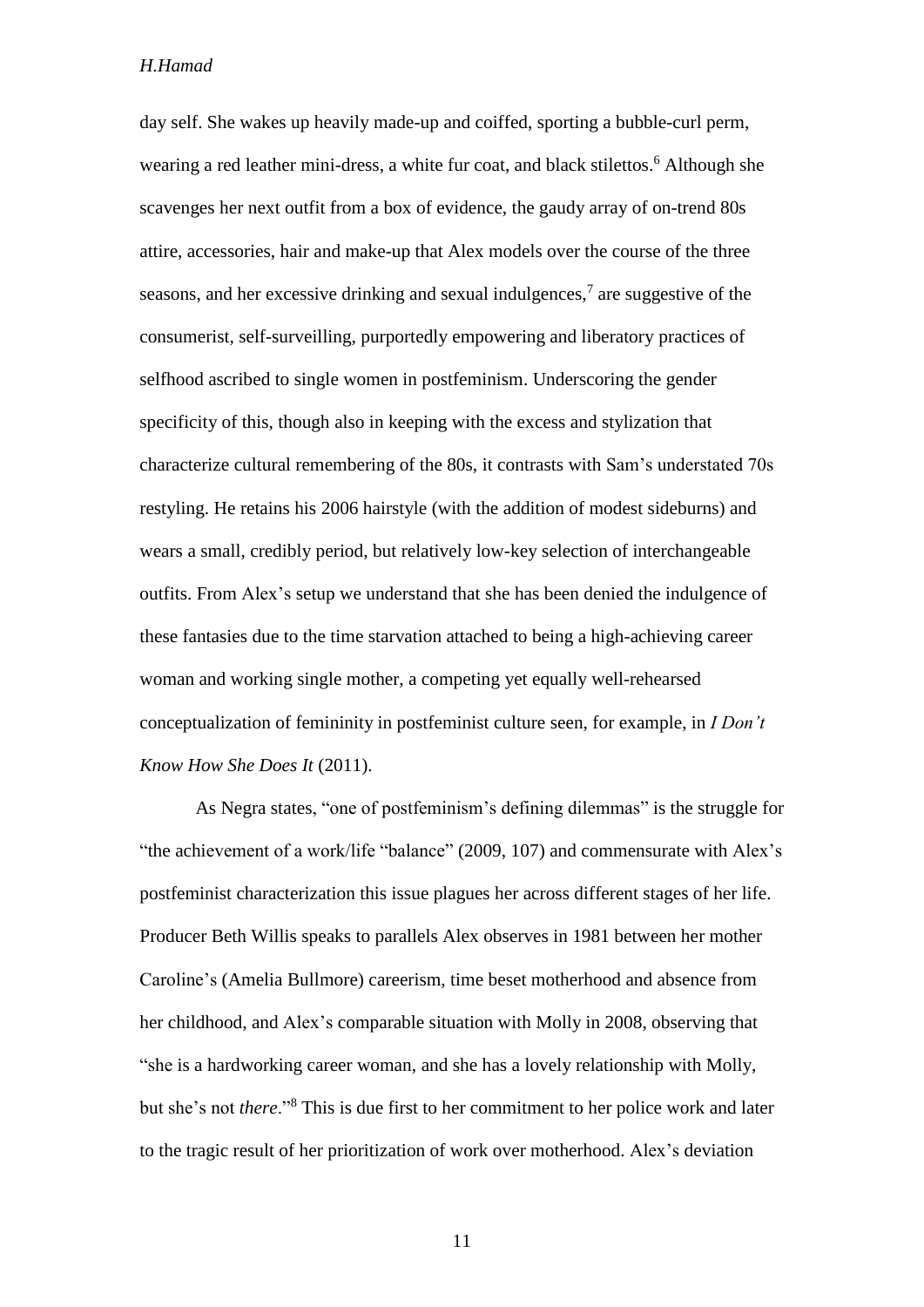day self. She wakes up heavily made-up and coiffed, sporting a bubble-curl perm, wearing a red leather mini-dress, a white fur coat, and black stilettos.<sup>6</sup> Although she scavenges her next outfit from a box of evidence, the gaudy array of on-trend 80s attire, accessories, hair and make-up that Alex models over the course of the three seasons, and her excessive drinking and sexual indulgences,<sup>7</sup> are suggestive of the consumerist, self-surveilling, purportedly empowering and liberatory practices of selfhood ascribed to single women in postfeminism. Underscoring the gender specificity of this, though also in keeping with the excess and stylization that characterize cultural remembering of the 80s, it contrasts with Sam's understated 70s restyling. He retains his 2006 hairstyle (with the addition of modest sideburns) and wears a small, credibly period, but relatively low-key selection of interchangeable outfits. From Alex's setup we understand that she has been denied the indulgence of these fantasies due to the time starvation attached to being a high-achieving career woman and working single mother, a competing yet equally well-rehearsed conceptualization of femininity in postfeminist culture seen, for example, in *I Don't Know How She Does It* (2011).

As Negra states, "one of postfeminism's defining dilemmas" is the struggle for "the achievement of a work/life "balance" (2009, 107) and commensurate with Alex's postfeminist characterization this issue plagues her across different stages of her life. Producer Beth Willis speaks to parallels Alex observes in 1981 between her mother Caroline's (Amelia Bullmore) careerism, time beset motherhood and absence from her childhood, and Alex's comparable situation with Molly in 2008, observing that "she is a hardworking career woman, and she has a lovely relationship with Molly, but she's not *there*."<sup>8</sup> This is due first to her commitment to her police work and later to the tragic result of her prioritization of work over motherhood. Alex's deviation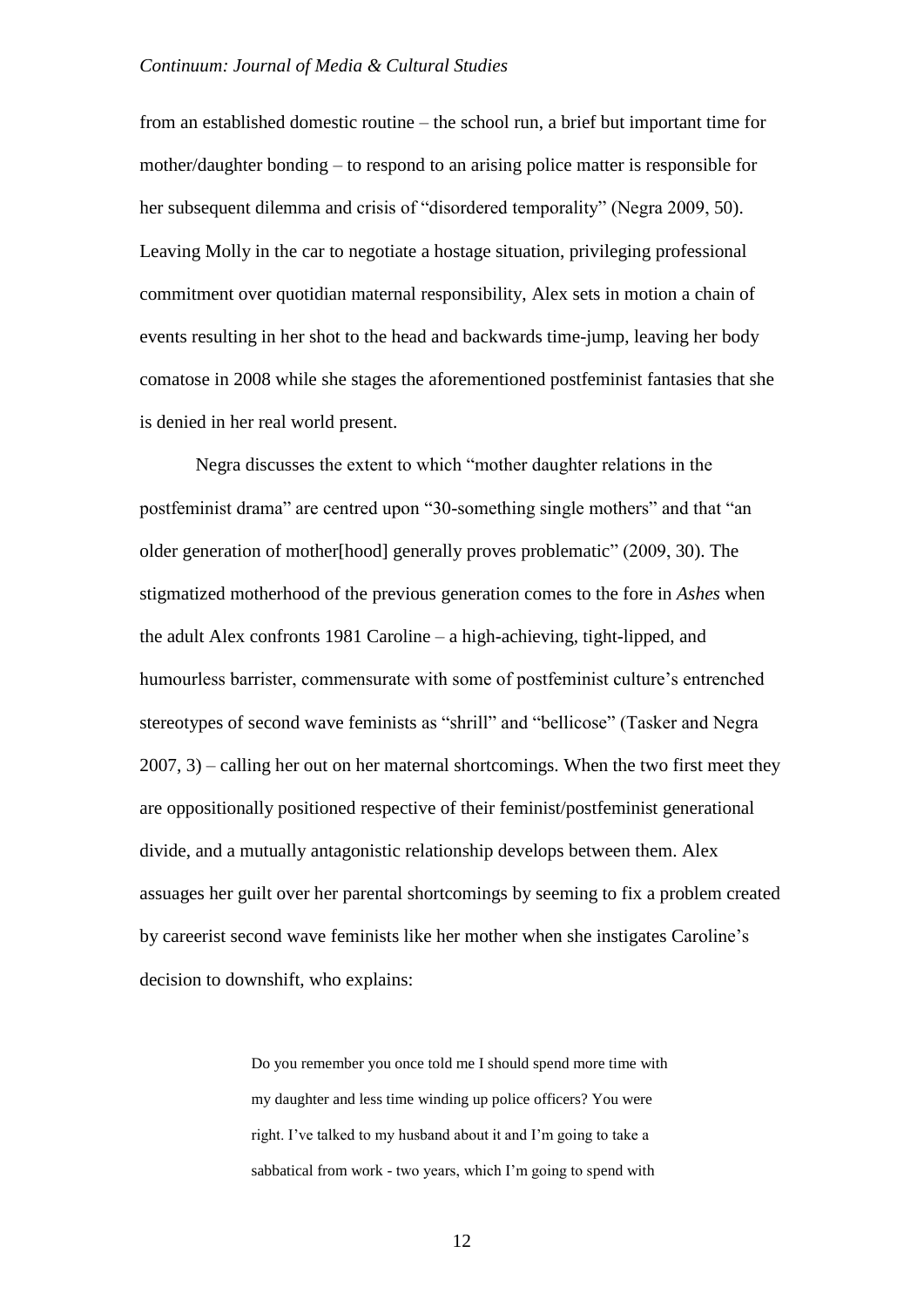from an established domestic routine – the school run, a brief but important time for mother/daughter bonding – to respond to an arising police matter is responsible for her subsequent dilemma and crisis of "disordered temporality" (Negra 2009, 50). Leaving Molly in the car to negotiate a hostage situation, privileging professional commitment over quotidian maternal responsibility, Alex sets in motion a chain of events resulting in her shot to the head and backwards time-jump, leaving her body comatose in 2008 while she stages the aforementioned postfeminist fantasies that she is denied in her real world present.

Negra discusses the extent to which "mother daughter relations in the postfeminist drama" are centred upon "30-something single mothers" and that "an older generation of mother[hood] generally proves problematic" (2009, 30). The stigmatized motherhood of the previous generation comes to the fore in *Ashes* when the adult Alex confronts 1981 Caroline – a high-achieving, tight-lipped, and humourless barrister, commensurate with some of postfeminist culture's entrenched stereotypes of second wave feminists as "shrill" and "bellicose" (Tasker and Negra 2007, 3) – calling her out on her maternal shortcomings. When the two first meet they are oppositionally positioned respective of their feminist/postfeminist generational divide, and a mutually antagonistic relationship develops between them. Alex assuages her guilt over her parental shortcomings by seeming to fix a problem created by careerist second wave feminists like her mother when she instigates Caroline's decision to downshift, who explains:

> Do you remember you once told me I should spend more time with my daughter and less time winding up police officers? You were right. I've talked to my husband about it and I'm going to take a sabbatical from work - two years, which I'm going to spend with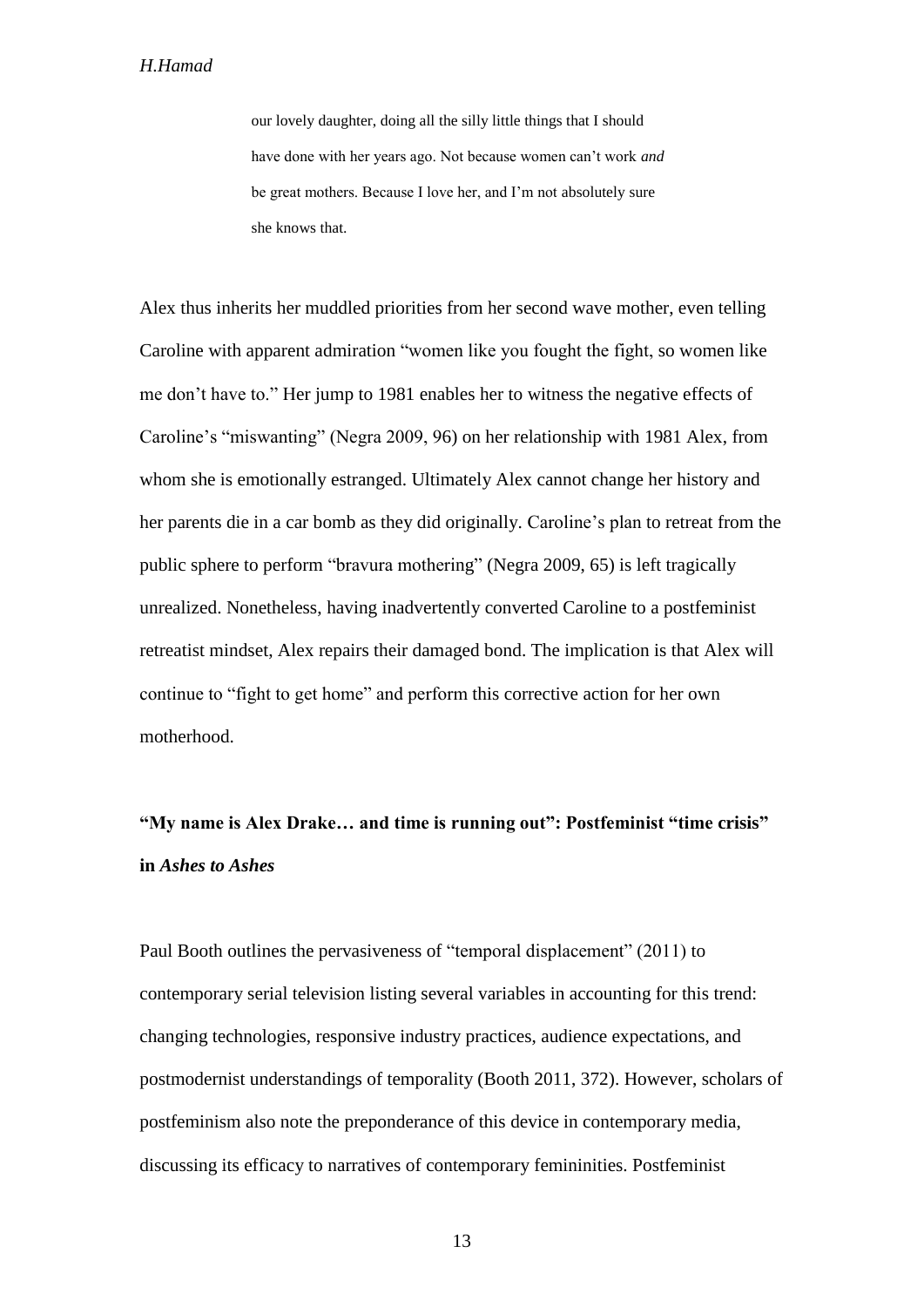our lovely daughter, doing all the silly little things that I should have done with her years ago. Not because women can't work *and* be great mothers. Because I love her, and I'm not absolutely sure she knows that.

Alex thus inherits her muddled priorities from her second wave mother, even telling Caroline with apparent admiration "women like you fought the fight, so women like me don't have to." Her jump to 1981 enables her to witness the negative effects of Caroline's "miswanting" (Negra 2009, 96) on her relationship with 1981 Alex, from whom she is emotionally estranged. Ultimately Alex cannot change her history and her parents die in a car bomb as they did originally. Caroline's plan to retreat from the public sphere to perform "bravura mothering" (Negra 2009, 65) is left tragically unrealized. Nonetheless, having inadvertently converted Caroline to a postfeminist retreatist mindset, Alex repairs their damaged bond. The implication is that Alex will continue to "fight to get home" and perform this corrective action for her own motherhood.

# **"My name is Alex Drake… and time is running out": Postfeminist "time crisis" in** *Ashes to Ashes*

Paul Booth outlines the pervasiveness of "temporal displacement" (2011) to contemporary serial television listing several variables in accounting for this trend: changing technologies, responsive industry practices, audience expectations, and postmodernist understandings of temporality (Booth 2011, 372). However, scholars of postfeminism also note the preponderance of this device in contemporary media, discussing its efficacy to narratives of contemporary femininities. Postfeminist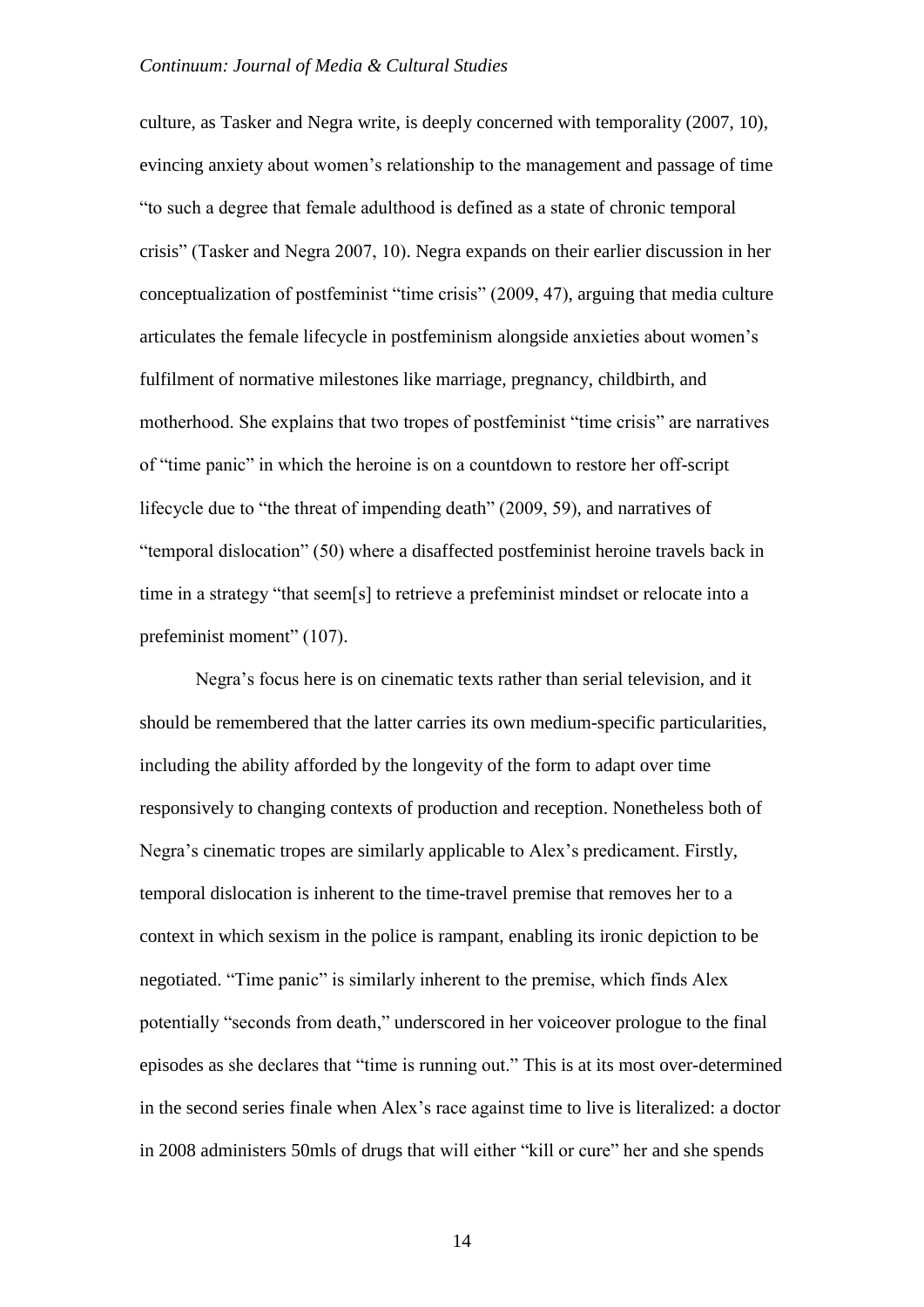culture, as Tasker and Negra write, is deeply concerned with temporality (2007, 10), evincing anxiety about women's relationship to the management and passage of time "to such a degree that female adulthood is defined as a state of chronic temporal crisis" (Tasker and Negra 2007, 10). Negra expands on their earlier discussion in her conceptualization of postfeminist "time crisis" (2009, 47), arguing that media culture articulates the female lifecycle in postfeminism alongside anxieties about women's fulfilment of normative milestones like marriage, pregnancy, childbirth, and motherhood. She explains that two tropes of postfeminist "time crisis" are narratives of "time panic" in which the heroine is on a countdown to restore her off-script lifecycle due to "the threat of impending death" (2009, 59), and narratives of "temporal dislocation" (50) where a disaffected postfeminist heroine travels back in time in a strategy "that seem[s] to retrieve a prefeminist mindset or relocate into a prefeminist moment" (107).

Negra's focus here is on cinematic texts rather than serial television, and it should be remembered that the latter carries its own medium-specific particularities, including the ability afforded by the longevity of the form to adapt over time responsively to changing contexts of production and reception. Nonetheless both of Negra's cinematic tropes are similarly applicable to Alex's predicament. Firstly, temporal dislocation is inherent to the time-travel premise that removes her to a context in which sexism in the police is rampant, enabling its ironic depiction to be negotiated. "Time panic" is similarly inherent to the premise, which finds Alex potentially "seconds from death," underscored in her voiceover prologue to the final episodes as she declares that "time is running out." This is at its most over-determined in the second series finale when Alex's race against time to live is literalized: a doctor in 2008 administers 50mls of drugs that will either "kill or cure" her and she spends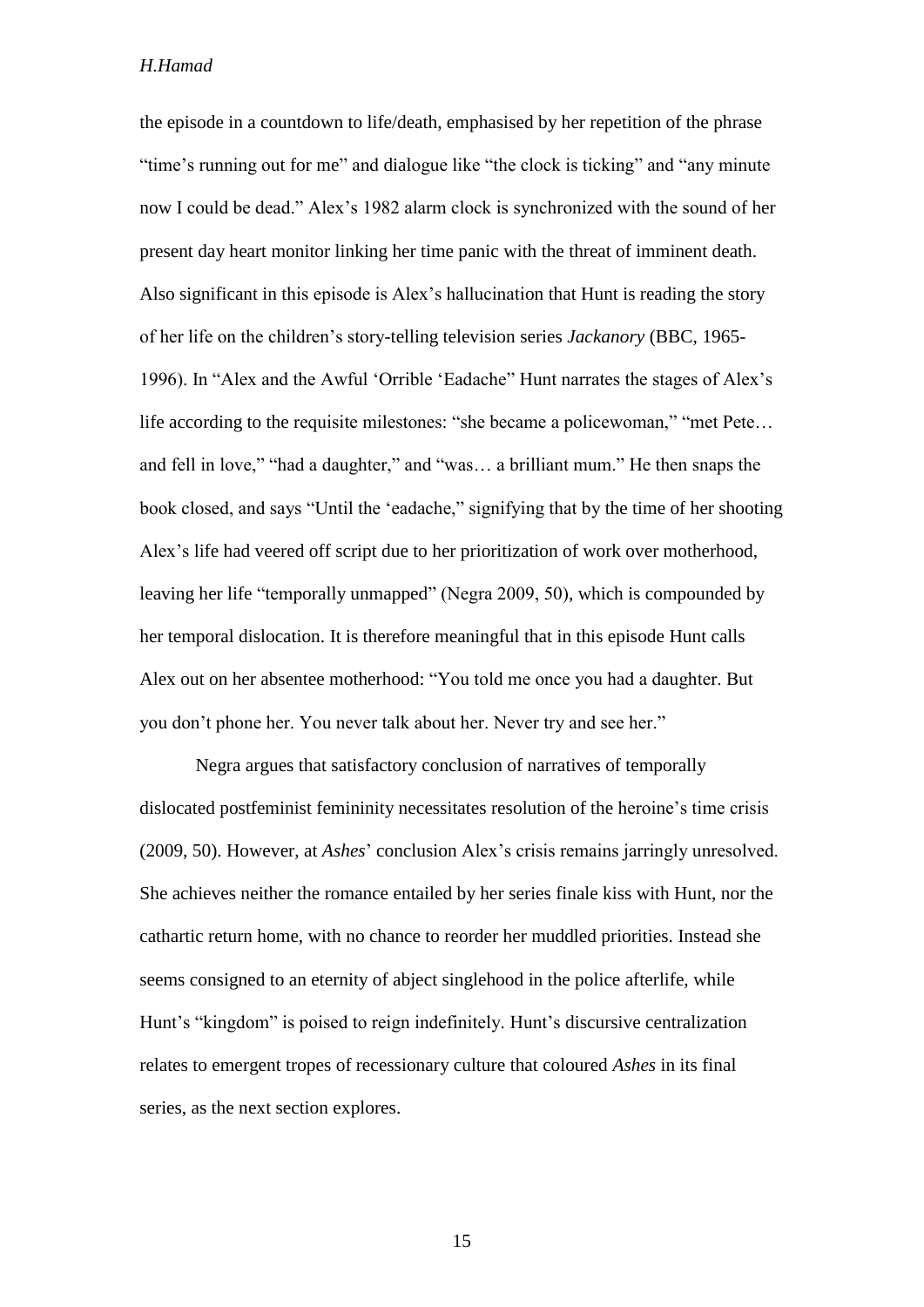the episode in a countdown to life/death, emphasised by her repetition of the phrase "time's running out for me" and dialogue like "the clock is ticking" and "any minute now I could be dead." Alex's 1982 alarm clock is synchronized with the sound of her present day heart monitor linking her time panic with the threat of imminent death. Also significant in this episode is Alex's hallucination that Hunt is reading the story of her life on the children's story-telling television series *Jackanory* (BBC, 1965- 1996). In "Alex and the Awful 'Orrible 'Eadache" Hunt narrates the stages of Alex's life according to the requisite milestones: "she became a policewoman," "met Pete… and fell in love," "had a daughter," and "was… a brilliant mum." He then snaps the book closed, and says "Until the 'eadache," signifying that by the time of her shooting Alex's life had veered off script due to her prioritization of work over motherhood, leaving her life "temporally unmapped" (Negra 2009, 50), which is compounded by her temporal dislocation. It is therefore meaningful that in this episode Hunt calls Alex out on her absentee motherhood: "You told me once you had a daughter. But you don't phone her. You never talk about her. Never try and see her."

Negra argues that satisfactory conclusion of narratives of temporally dislocated postfeminist femininity necessitates resolution of the heroine's time crisis (2009, 50). However, at *Ashes*' conclusion Alex's crisis remains jarringly unresolved. She achieves neither the romance entailed by her series finale kiss with Hunt, nor the cathartic return home, with no chance to reorder her muddled priorities. Instead she seems consigned to an eternity of abject singlehood in the police afterlife, while Hunt's "kingdom" is poised to reign indefinitely. Hunt's discursive centralization relates to emergent tropes of recessionary culture that coloured *Ashes* in its final series, as the next section explores.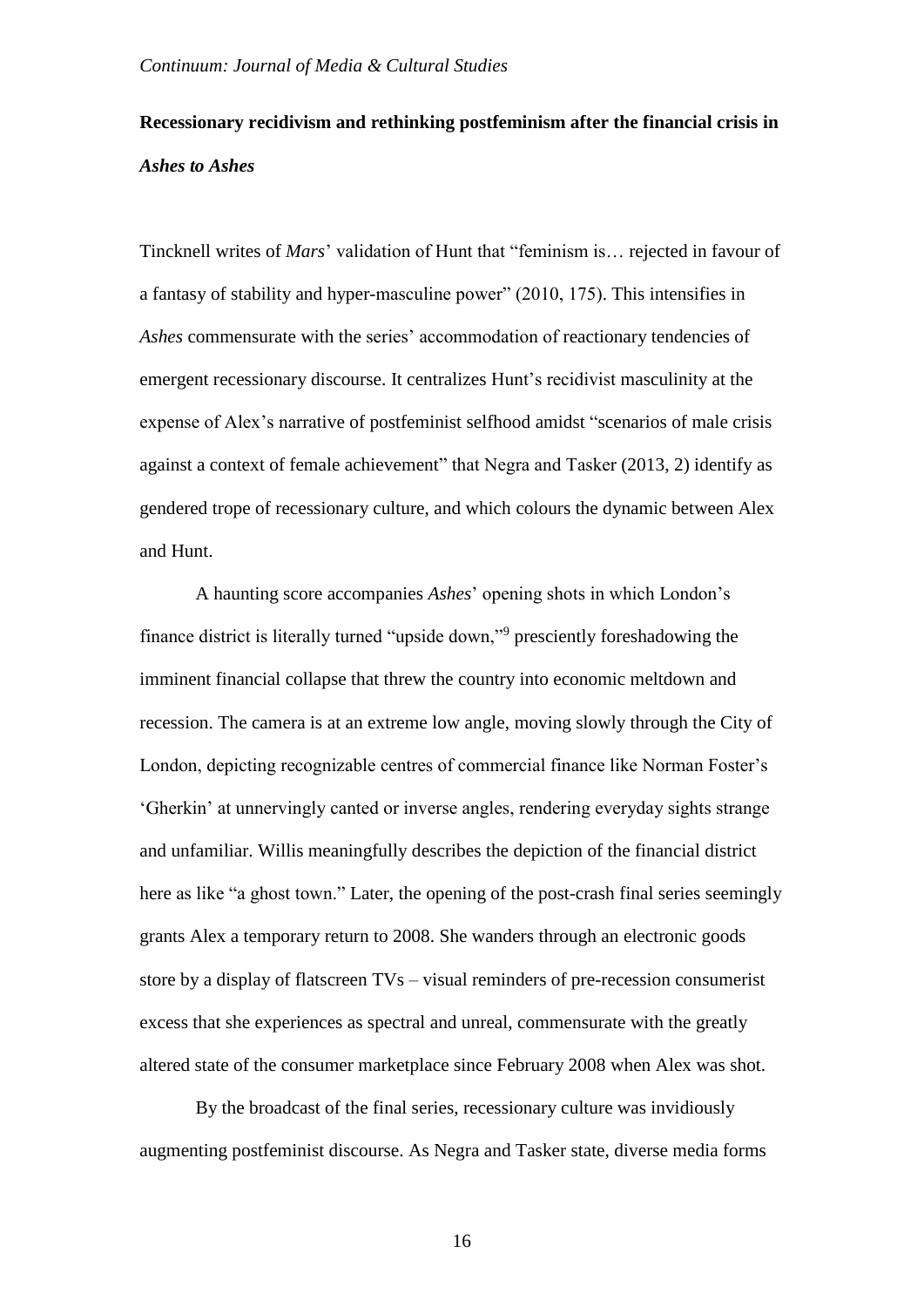## **Recessionary recidivism and rethinking postfeminism after the financial crisis in**  *Ashes to Ashes*

Tincknell writes of *Mars*' validation of Hunt that "feminism is… rejected in favour of a fantasy of stability and hyper-masculine power" (2010, 175). This intensifies in *Ashes* commensurate with the series' accommodation of reactionary tendencies of emergent recessionary discourse. It centralizes Hunt's recidivist masculinity at the expense of Alex's narrative of postfeminist selfhood amidst "scenarios of male crisis against a context of female achievement" that Negra and Tasker (2013, 2) identify as gendered trope of recessionary culture, and which colours the dynamic between Alex and Hunt.

A haunting score accompanies *Ashes*' opening shots in which London's finance district is literally turned "upside down,"<sup>9</sup> presciently foreshadowing the imminent financial collapse that threw the country into economic meltdown and recession. The camera is at an extreme low angle, moving slowly through the City of London, depicting recognizable centres of commercial finance like Norman Foster's 'Gherkin' at unnervingly canted or inverse angles, rendering everyday sights strange and unfamiliar. Willis meaningfully describes the depiction of the financial district here as like "a ghost town." Later, the opening of the post-crash final series seemingly grants Alex a temporary return to 2008. She wanders through an electronic goods store by a display of flatscreen TVs – visual reminders of pre-recession consumerist excess that she experiences as spectral and unreal, commensurate with the greatly altered state of the consumer marketplace since February 2008 when Alex was shot.

By the broadcast of the final series, recessionary culture was invidiously augmenting postfeminist discourse. As Negra and Tasker state, diverse media forms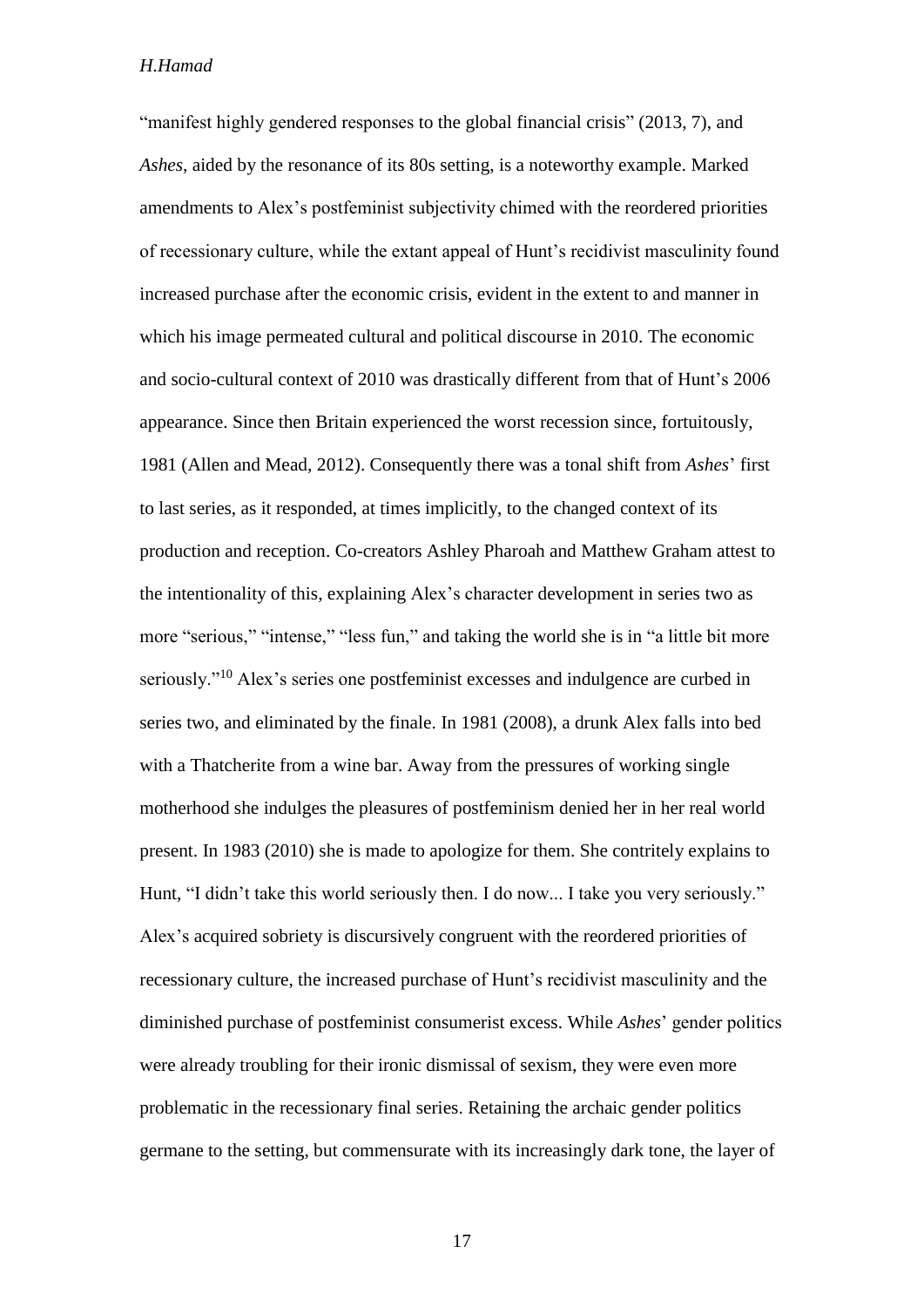"manifest highly gendered responses to the global financial crisis" (2013, 7), and *Ashes*, aided by the resonance of its 80s setting, is a noteworthy example. Marked amendments to Alex's postfeminist subjectivity chimed with the reordered priorities of recessionary culture, while the extant appeal of Hunt's recidivist masculinity found increased purchase after the economic crisis, evident in the extent to and manner in which his image permeated cultural and political discourse in 2010. The economic and socio-cultural context of 2010 was drastically different from that of Hunt's 2006 appearance. Since then Britain experienced the worst recession since, fortuitously, 1981 (Allen and Mead, 2012). Consequently there was a tonal shift from *Ashes*' first to last series, as it responded, at times implicitly, to the changed context of its production and reception. Co-creators Ashley Pharoah and Matthew Graham attest to the intentionality of this, explaining Alex's character development in series two as more "serious," "intense," "less fun," and taking the world she is in "a little bit more seriously."<sup>10</sup> Alex's series one postfeminist excesses and indulgence are curbed in series two, and eliminated by the finale. In 1981 (2008), a drunk Alex falls into bed with a Thatcherite from a wine bar. Away from the pressures of working single motherhood she indulges the pleasures of postfeminism denied her in her real world present. In 1983 (2010) she is made to apologize for them. She contritely explains to Hunt, "I didn't take this world seriously then. I do now... I take you very seriously." Alex's acquired sobriety is discursively congruent with the reordered priorities of recessionary culture, the increased purchase of Hunt's recidivist masculinity and the diminished purchase of postfeminist consumerist excess. While *Ashes*' gender politics were already troubling for their ironic dismissal of sexism, they were even more problematic in the recessionary final series. Retaining the archaic gender politics germane to the setting, but commensurate with its increasingly dark tone, the layer of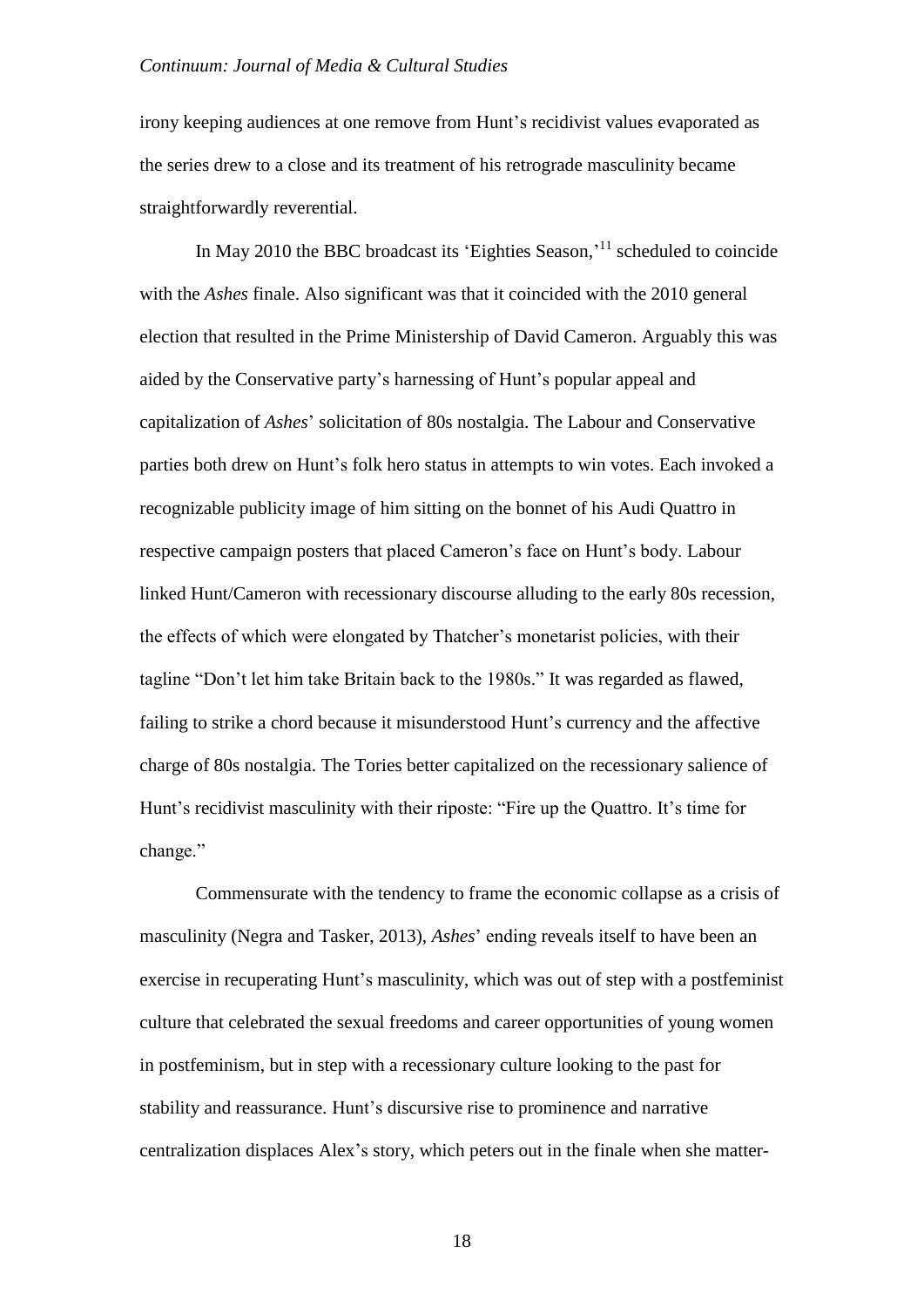irony keeping audiences at one remove from Hunt's recidivist values evaporated as the series drew to a close and its treatment of his retrograde masculinity became straightforwardly reverential.

In May 2010 the BBC broadcast its 'Eighties Season,'<sup>11</sup> scheduled to coincide with the *Ashes* finale. Also significant was that it coincided with the 2010 general election that resulted in the Prime Ministership of David Cameron. Arguably this was aided by the Conservative party's harnessing of Hunt's popular appeal and capitalization of *Ashes*' solicitation of 80s nostalgia. The Labour and Conservative parties both drew on Hunt's folk hero status in attempts to win votes. Each invoked a recognizable publicity image of him sitting on the bonnet of his Audi Quattro in respective campaign posters that placed Cameron's face on Hunt's body. Labour linked Hunt/Cameron with recessionary discourse alluding to the early 80s recession, the effects of which were elongated by Thatcher's monetarist policies, with their tagline "Don't let him take Britain back to the 1980s." It was regarded as flawed, failing to strike a chord because it misunderstood Hunt's currency and the affective charge of 80s nostalgia. The Tories better capitalized on the recessionary salience of Hunt's recidivist masculinity with their riposte: "Fire up the Quattro. It's time for change."

Commensurate with the tendency to frame the economic collapse as a crisis of masculinity (Negra and Tasker, 2013), *Ashes*' ending reveals itself to have been an exercise in recuperating Hunt's masculinity, which was out of step with a postfeminist culture that celebrated the sexual freedoms and career opportunities of young women in postfeminism, but in step with a recessionary culture looking to the past for stability and reassurance. Hunt's discursive rise to prominence and narrative centralization displaces Alex's story, which peters out in the finale when she matter-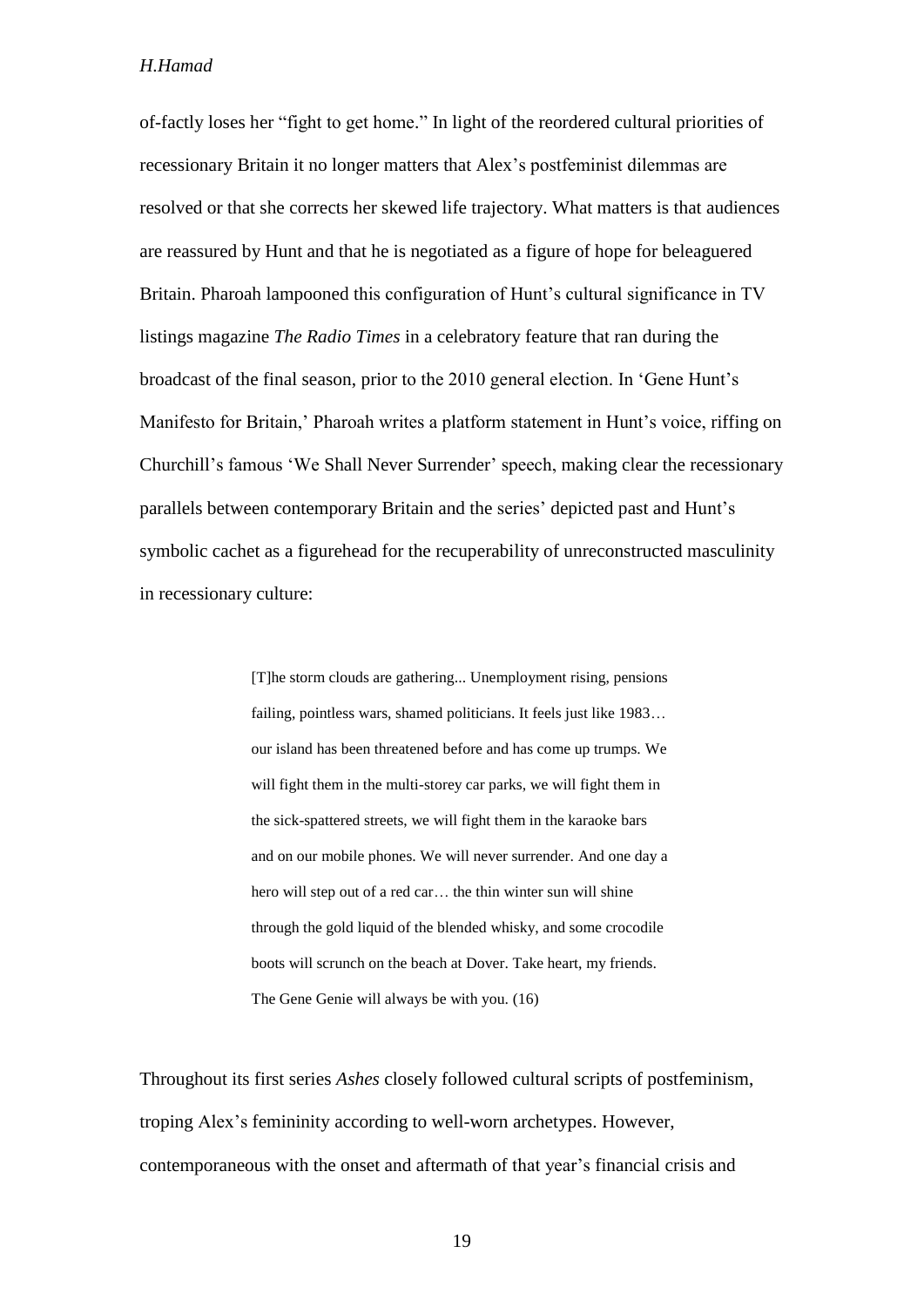of-factly loses her "fight to get home." In light of the reordered cultural priorities of recessionary Britain it no longer matters that Alex's postfeminist dilemmas are resolved or that she corrects her skewed life trajectory. What matters is that audiences are reassured by Hunt and that he is negotiated as a figure of hope for beleaguered Britain. Pharoah lampooned this configuration of Hunt's cultural significance in TV listings magazine *The Radio Times* in a celebratory feature that ran during the broadcast of the final season, prior to the 2010 general election. In 'Gene Hunt's Manifesto for Britain,' Pharoah writes a platform statement in Hunt's voice, riffing on Churchill's famous 'We Shall Never Surrender' speech, making clear the recessionary parallels between contemporary Britain and the series' depicted past and Hunt's symbolic cachet as a figurehead for the recuperability of unreconstructed masculinity in recessionary culture:

> [T]he storm clouds are gathering... Unemployment rising, pensions failing, pointless wars, shamed politicians. It feels just like 1983... our island has been threatened before and has come up trumps. We will fight them in the multi-storey car parks, we will fight them in the sick-spattered streets, we will fight them in the karaoke bars and on our mobile phones. We will never surrender. And one day a hero will step out of a red car… the thin winter sun will shine through the gold liquid of the blended whisky, and some crocodile boots will scrunch on the beach at Dover. Take heart, my friends. The Gene Genie will always be with you. (16)

Throughout its first series *Ashes* closely followed cultural scripts of postfeminism, troping Alex's femininity according to well-worn archetypes. However, contemporaneous with the onset and aftermath of that year's financial crisis and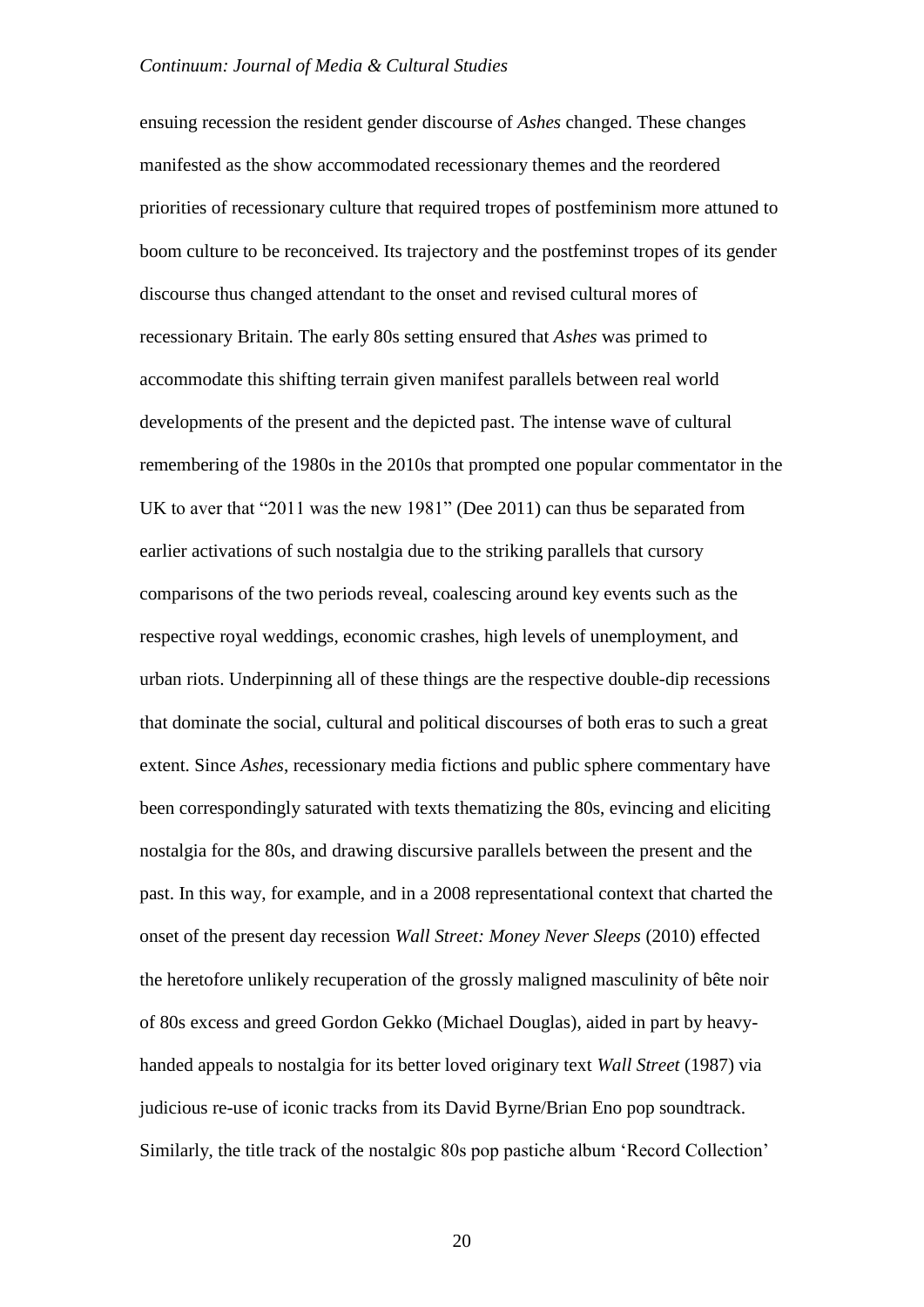ensuing recession the resident gender discourse of *Ashes* changed. These changes manifested as the show accommodated recessionary themes and the reordered priorities of recessionary culture that required tropes of postfeminism more attuned to boom culture to be reconceived. Its trajectory and the postfeminst tropes of its gender discourse thus changed attendant to the onset and revised cultural mores of recessionary Britain. The early 80s setting ensured that *Ashes* was primed to accommodate this shifting terrain given manifest parallels between real world developments of the present and the depicted past. The intense wave of cultural remembering of the 1980s in the 2010s that prompted one popular commentator in the UK to aver that "2011 was the new 1981" (Dee 2011) can thus be separated from earlier activations of such nostalgia due to the striking parallels that cursory comparisons of the two periods reveal, coalescing around key events such as the respective royal weddings, economic crashes, high levels of unemployment, and urban riots. Underpinning all of these things are the respective double-dip recessions that dominate the social, cultural and political discourses of both eras to such a great extent. Since *Ashes*, recessionary media fictions and public sphere commentary have been correspondingly saturated with texts thematizing the 80s, evincing and eliciting nostalgia for the 80s, and drawing discursive parallels between the present and the past. In this way, for example, and in a 2008 representational context that charted the onset of the present day recession *Wall Street: Money Never Sleeps* (2010) effected the heretofore unlikely recuperation of the grossly maligned masculinity of bête noir of 80s excess and greed Gordon Gekko (Michael Douglas), aided in part by heavyhanded appeals to nostalgia for its better loved originary text *Wall Street* (1987) via judicious re-use of iconic tracks from its David Byrne/Brian Eno pop soundtrack. Similarly, the title track of the nostalgic 80s pop pastiche album 'Record Collection'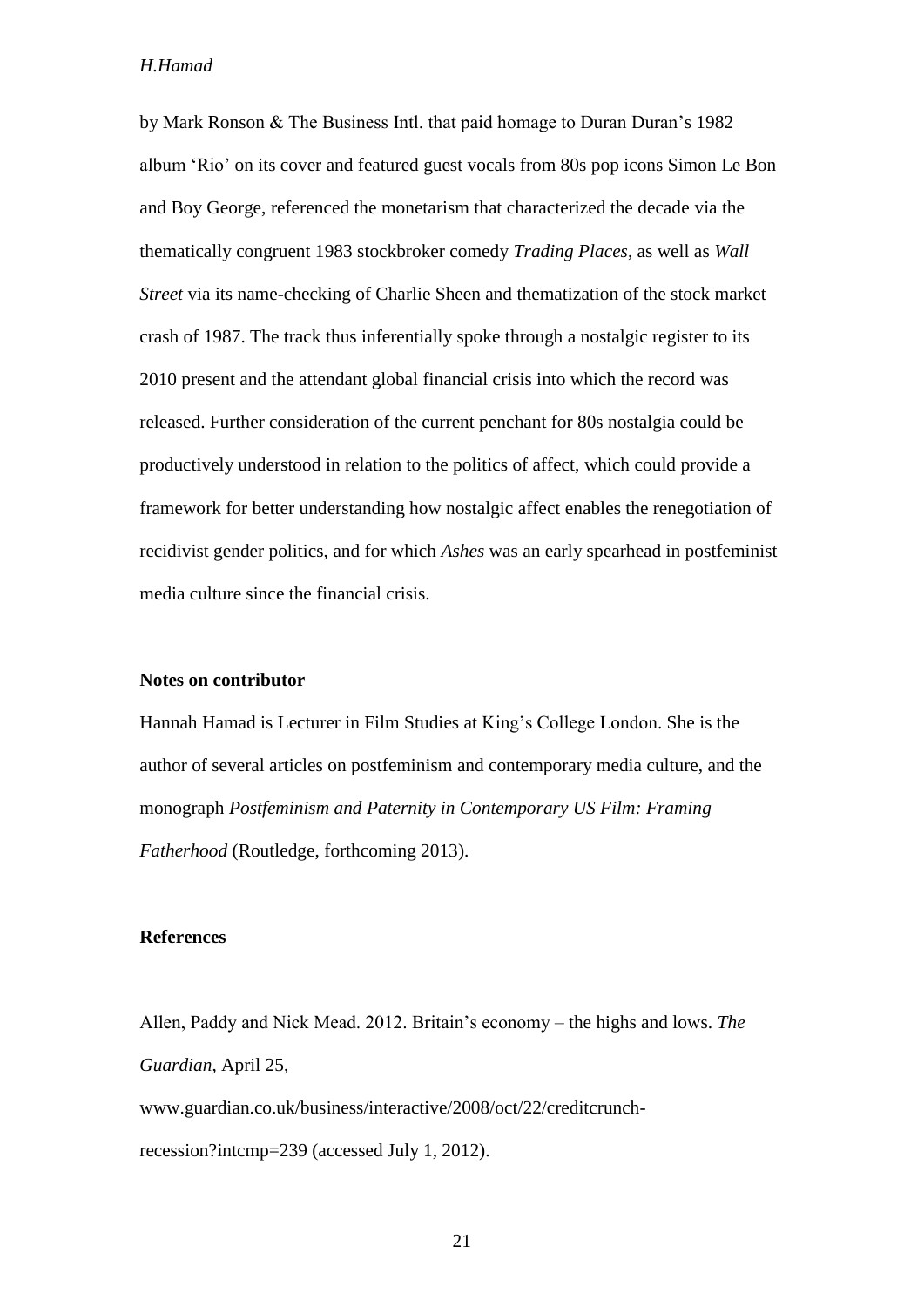by Mark Ronson & The Business Intl. that paid homage to Duran Duran's 1982 album 'Rio' on its cover and featured guest vocals from 80s pop icons Simon Le Bon and Boy George, referenced the monetarism that characterized the decade via the thematically congruent 1983 stockbroker comedy *Trading Places*, as well as *Wall Street* via its name-checking of Charlie Sheen and thematization of the stock market crash of 1987. The track thus inferentially spoke through a nostalgic register to its 2010 present and the attendant global financial crisis into which the record was released. Further consideration of the current penchant for 80s nostalgia could be productively understood in relation to the politics of affect, which could provide a framework for better understanding how nostalgic affect enables the renegotiation of recidivist gender politics, and for which *Ashes* was an early spearhead in postfeminist media culture since the financial crisis.

## **Notes on contributor**

Hannah Hamad is Lecturer in Film Studies at King's College London. She is the author of several articles on postfeminism and contemporary media culture, and the monograph *Postfeminism and Paternity in Contemporary US Film: Framing Fatherhood* (Routledge, forthcoming 2013).

## **References**

Allen, Paddy and Nick Mead. 2012. Britain's economy – the highs and lows. *The Guardian*, April 25, www.guardian.co.uk/business/interactive/2008/oct/22/creditcrunchrecession?intcmp=239 (accessed July 1, 2012).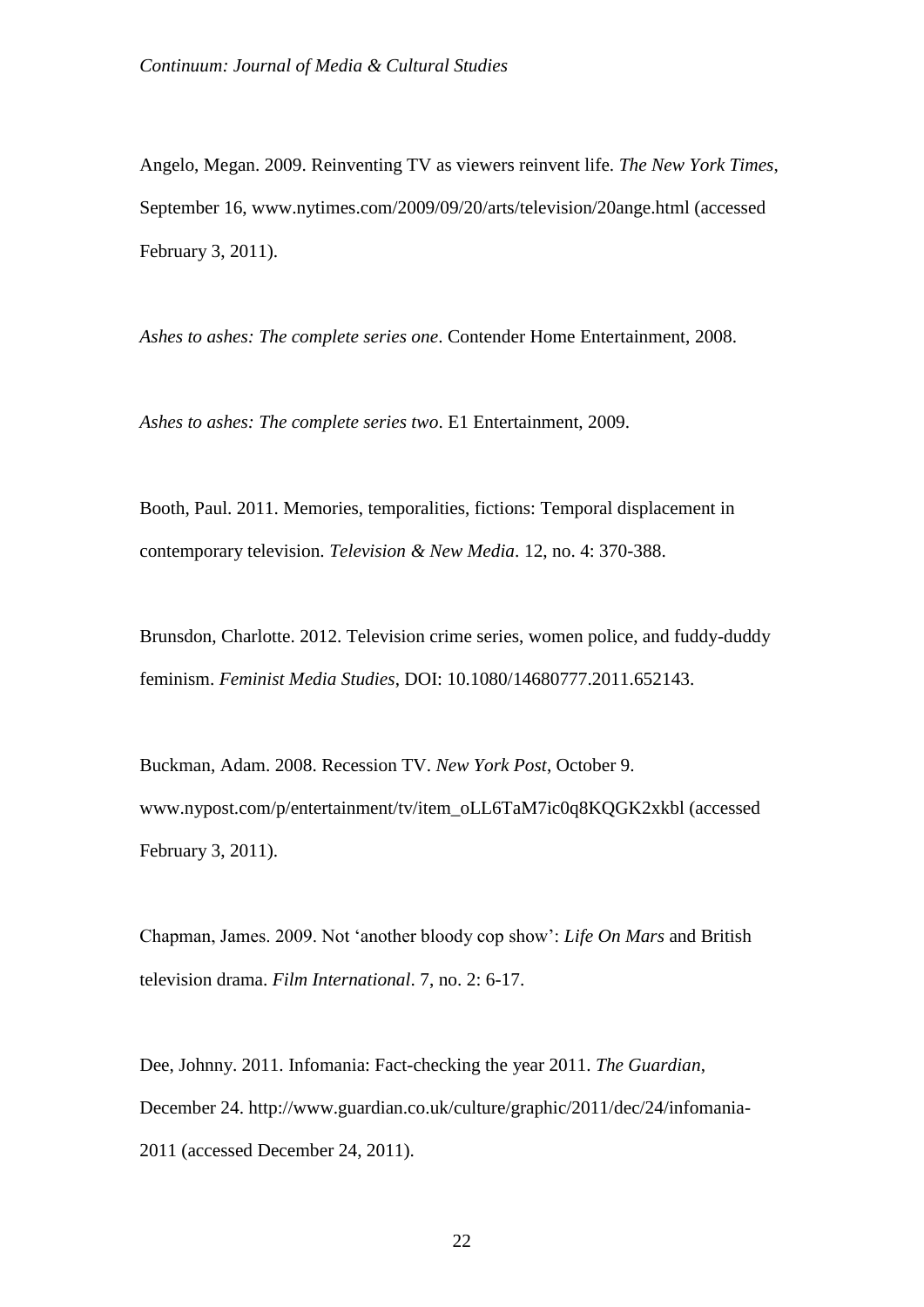Angelo, Megan. 2009. Reinventing TV as viewers reinvent life. *The New York Times*, September 16, www.nytimes.com/2009/09/20/arts/television/20ange.html (accessed February 3, 2011).

*Ashes to ashes: The complete series one*. Contender Home Entertainment, 2008.

*Ashes to ashes: The complete series two*. E1 Entertainment, 2009.

Booth, Paul. 2011. Memories, temporalities, fictions: Temporal displacement in contemporary television. *Television & New Media*. 12, no. 4: 370-388.

Brunsdon, Charlotte. 2012. Television crime series, women police, and fuddy-duddy feminism. *Feminist Media Studies*, DOI: 10.1080/14680777.2011.652143.

Buckman, Adam. 2008. Recession TV. *New York Post*, October 9. www.nypost.com/p/entertainment/tv/item\_oLL6TaM7ic0q8KQGK2xkbl (accessed February 3, 2011).

Chapman, James. 2009. Not 'another bloody cop show': *Life On Mars* and British television drama. *Film International*. 7, no. 2: 6-17.

Dee, Johnny. 2011. Infomania: Fact-checking the year 2011. *The Guardian*, December 24. http://www.guardian.co.uk/culture/graphic/2011/dec/24/infomania-2011 (accessed December 24, 2011).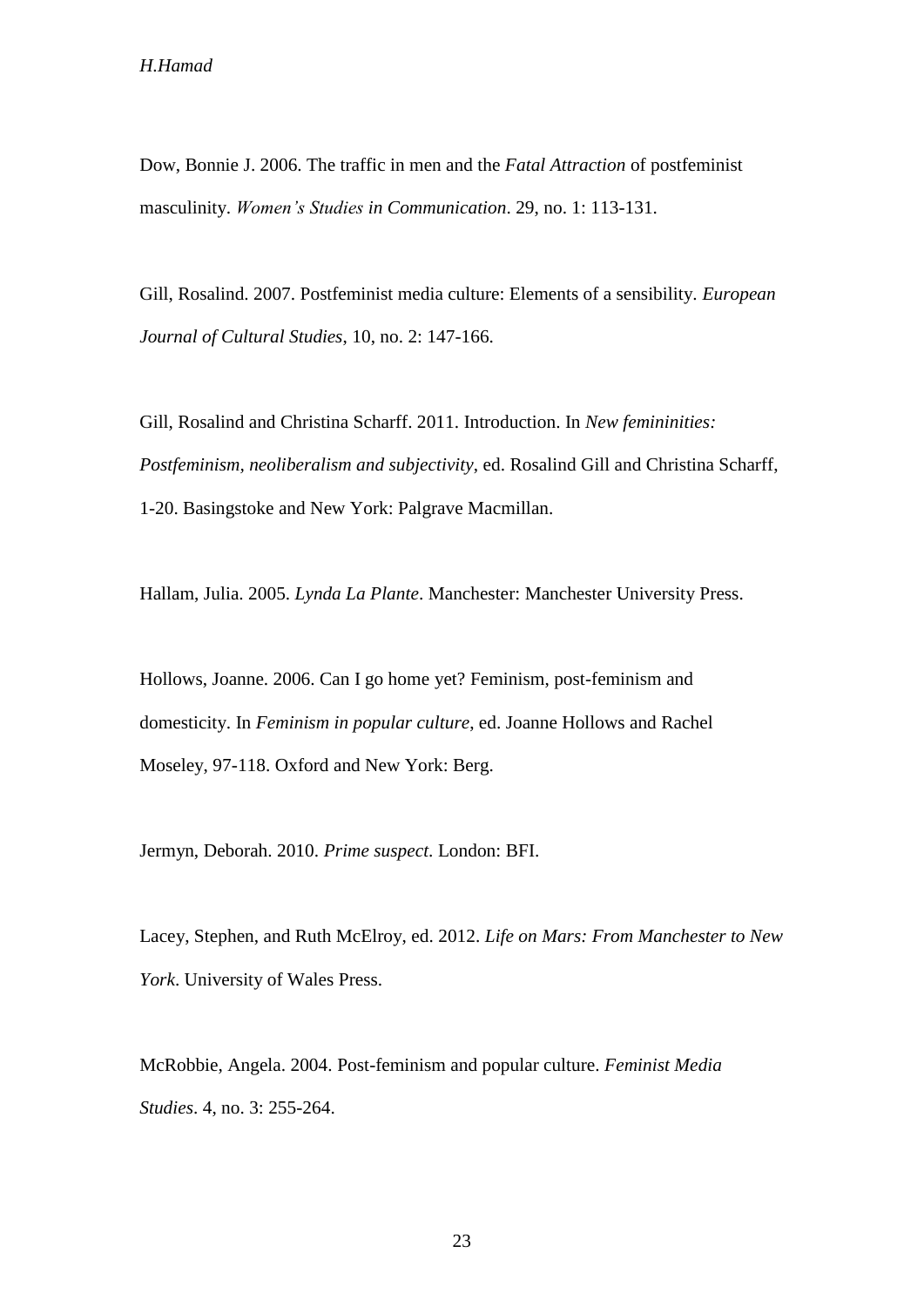Dow, Bonnie J. 2006. The traffic in men and the *Fatal Attraction* of postfeminist masculinity. *Women's Studies in Communication*. 29, no. 1: 113-131.

Gill, Rosalind. 2007. Postfeminist media culture: Elements of a sensibility. *European Journal of Cultural Studies*, 10, no. 2: 147-166.

Gill, Rosalind and Christina Scharff. 2011. Introduction. In *New femininities: Postfeminism, neoliberalism and subjectivity*, ed. Rosalind Gill and Christina Scharff, 1-20. Basingstoke and New York: Palgrave Macmillan.

Hallam, Julia. 2005. *Lynda La Plante*. Manchester: Manchester University Press.

Hollows, Joanne. 2006. Can I go home yet? Feminism, post-feminism and domesticity. In *Feminism in popular culture*, ed. Joanne Hollows and Rachel Moseley, 97-118. Oxford and New York: Berg.

Jermyn, Deborah. 2010. *Prime suspect*. London: BFI.

Lacey, Stephen, and Ruth McElroy, ed. 2012. *Life on Mars: From Manchester to New York*. University of Wales Press.

McRobbie, Angela. 2004. Post-feminism and popular culture. *Feminist Media Studies*. 4, no. 3: 255-264.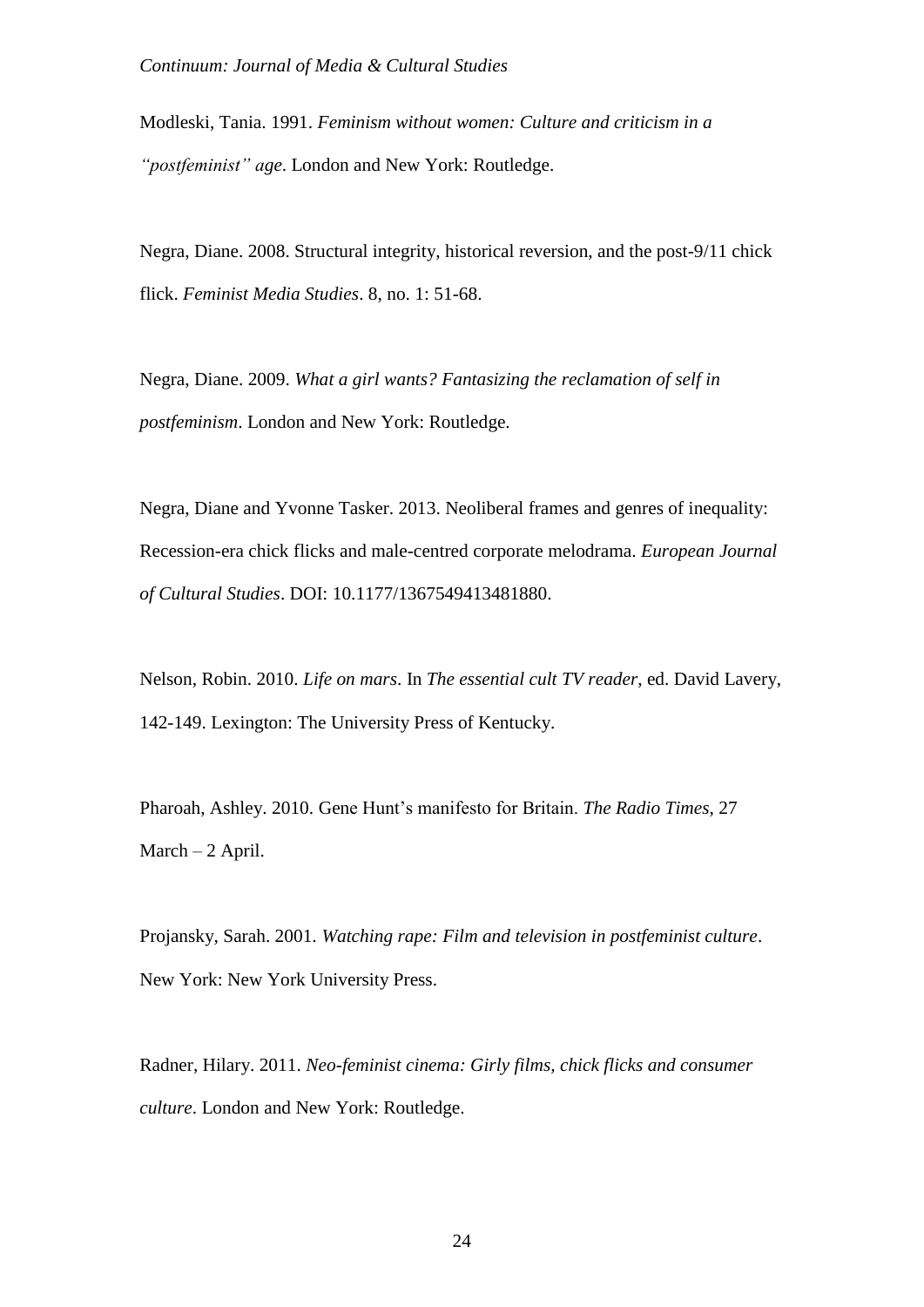Modleski, Tania. 1991. *Feminism without women: Culture and criticism in a "postfeminist" age*. London and New York: Routledge.

Negra, Diane. 2008. Structural integrity, historical reversion, and the post-9/11 chick flick. *Feminist Media Studies*. 8, no. 1: 51-68.

Negra, Diane. 2009. *What a girl wants? Fantasizing the reclamation of self in postfeminism*. London and New York: Routledge.

Negra, Diane and Yvonne Tasker. 2013. Neoliberal frames and genres of inequality: Recession-era chick flicks and male-centred corporate melodrama. *European Journal of Cultural Studies*. DOI: 10.1177/1367549413481880.

Nelson, Robin. 2010. *Life on mars*. In *The essential cult TV reader*, ed. David Lavery, 142-149. Lexington: The University Press of Kentucky.

Pharoah, Ashley. 2010. Gene Hunt's manifesto for Britain. *The Radio Times*, 27 March – 2 April.

Projansky, Sarah. 2001. *Watching rape: Film and television in postfeminist culture*. New York: New York University Press.

Radner, Hilary. 2011. *Neo-feminist cinema: Girly films, chick flicks and consumer culture*. London and New York: Routledge.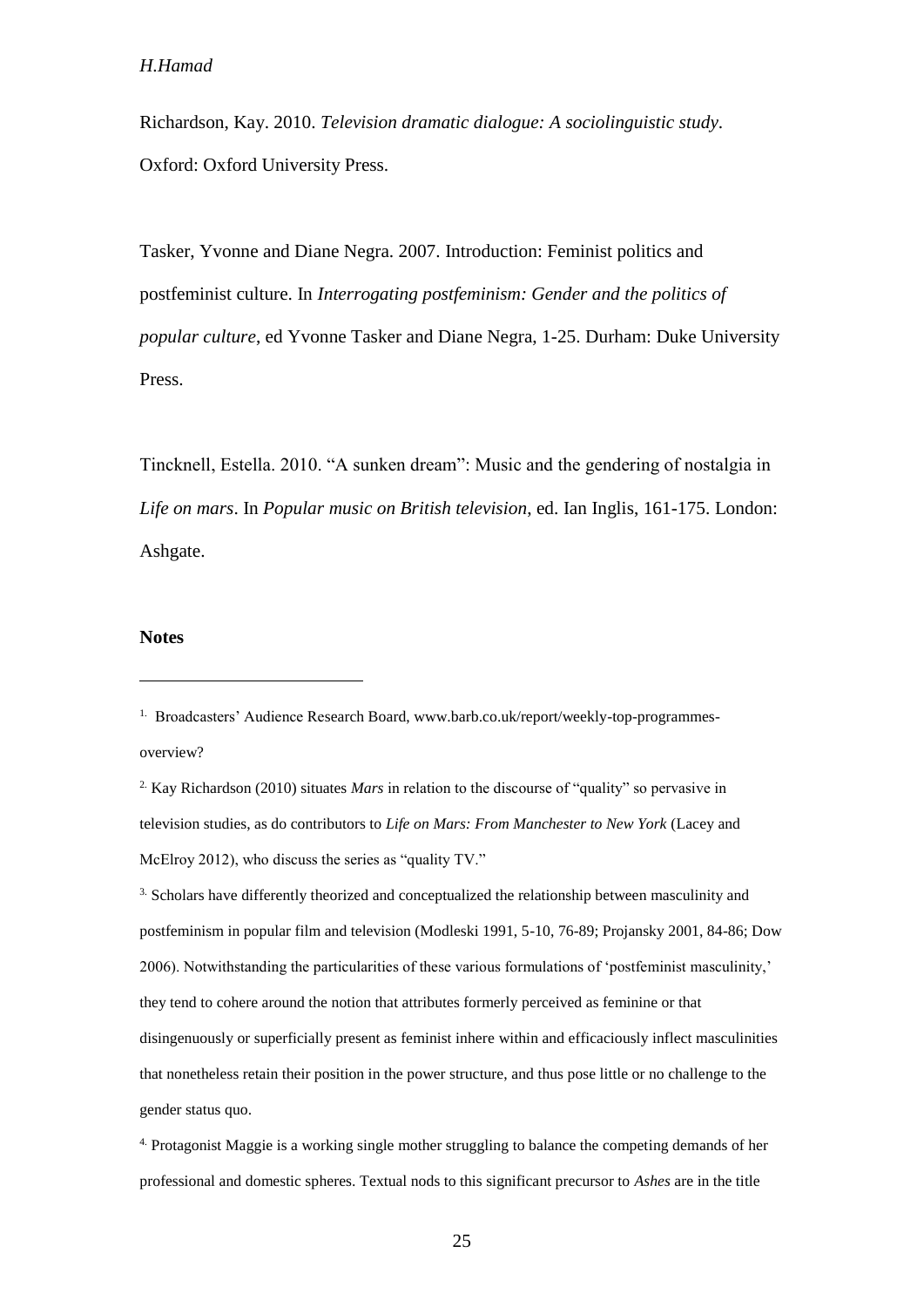Richardson, Kay. 2010. *Television dramatic dialogue: A sociolinguistic study*. Oxford: Oxford University Press.

Tasker, Yvonne and Diane Negra. 2007. Introduction: Feminist politics and postfeminist culture. In *Interrogating postfeminism: Gender and the politics of popular culture*, ed Yvonne Tasker and Diane Negra, 1-25. Durham: Duke University Press.

Tincknell, Estella. 2010. "A sunken dream": Music and the gendering of nostalgia in *Life on mars*. In *Popular music on British television*, ed. Ian Inglis, 161-175. London: Ashgate.

## **Notes**

<sup>&</sup>lt;sup>1.</sup> Broadcasters' Audience Research Board, www.barb.co.uk/report/weekly-top-programmesoverview?

<sup>2.</sup> Kay Richardson (2010) situates *Mars* in relation to the discourse of "quality" so pervasive in television studies, as do contributors to *Life on Mars: From Manchester to New York* (Lacey and McElroy 2012), who discuss the series as "quality TV."

<sup>&</sup>lt;sup>3.</sup> Scholars have differently theorized and conceptualized the relationship between masculinity and postfeminism in popular film and television (Modleski 1991, 5-10, 76-89; Projansky 2001, 84-86; Dow 2006). Notwithstanding the particularities of these various formulations of 'postfeminist masculinity,' they tend to cohere around the notion that attributes formerly perceived as feminine or that disingenuously or superficially present as feminist inhere within and efficaciously inflect masculinities that nonetheless retain their position in the power structure, and thus pose little or no challenge to the gender status quo.

<sup>4.</sup> Protagonist Maggie is a working single mother struggling to balance the competing demands of her professional and domestic spheres. Textual nods to this significant precursor to *Ashes* are in the title